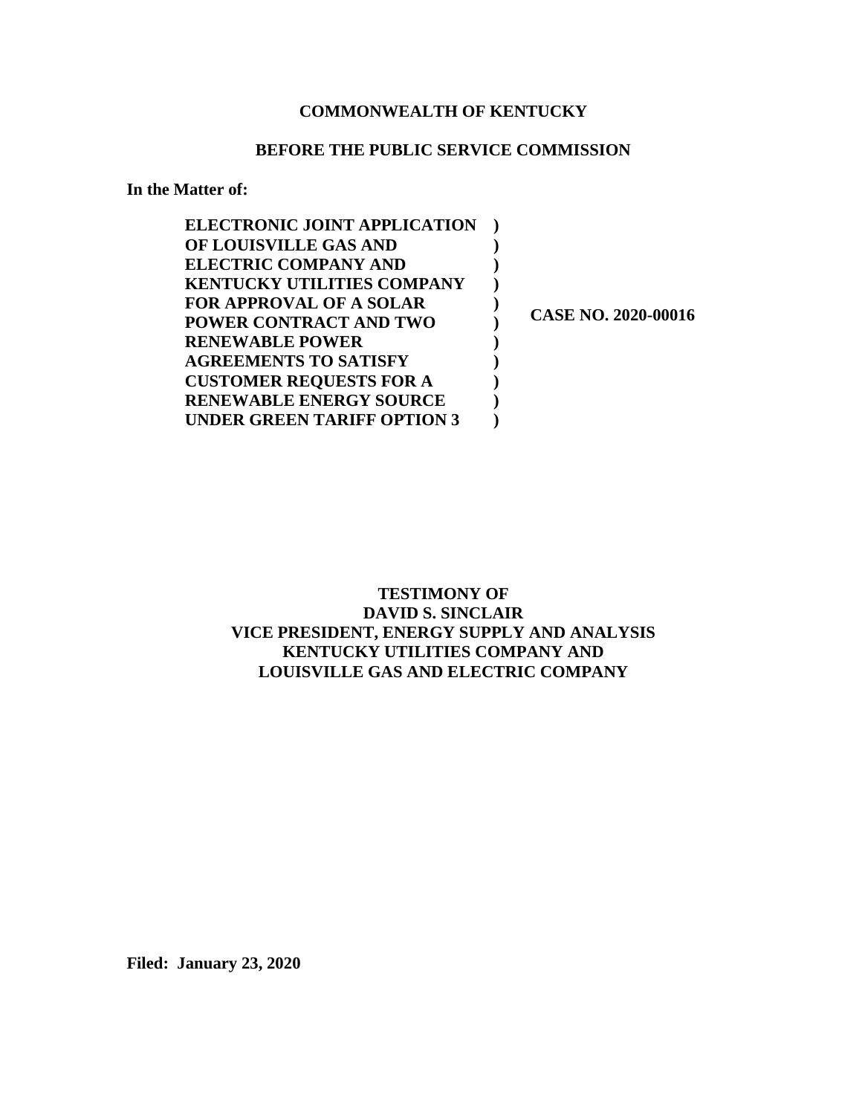### **COMMONWEALTH OF KENTUCKY**

### **BEFORE THE PUBLIC SERVICE COMMISSION**

**In the Matter of:**

| <b>ELECTRONIC JOINT APPLICATION</b> |                            |
|-------------------------------------|----------------------------|
| OF LOUISVILLE GAS AND               |                            |
| <b>ELECTRIC COMPANY AND</b>         |                            |
| <b>KENTUCKY UTILITIES COMPANY</b>   |                            |
| <b>FOR APPROVAL OF A SOLAR</b>      |                            |
| POWER CONTRACT AND TWO              | <b>CASE NO. 2020-00016</b> |
| <b>RENEWABLE POWER</b>              |                            |
| <b>AGREEMENTS TO SATISFY</b>        |                            |
| <b>CUSTOMER REQUESTS FOR A</b>      |                            |
| <b>RENEWABLE ENERGY SOURCE</b>      |                            |
| UNDER GREEN TARIFF OPTION 3         |                            |

**TESTIMONY OF DAVID S. SINCLAIR VICE PRESIDENT, ENERGY SUPPLY AND ANALYSIS KENTUCKY UTILITIES COMPANY AND LOUISVILLE GAS AND ELECTRIC COMPANY**

**Filed: January 23, 2020**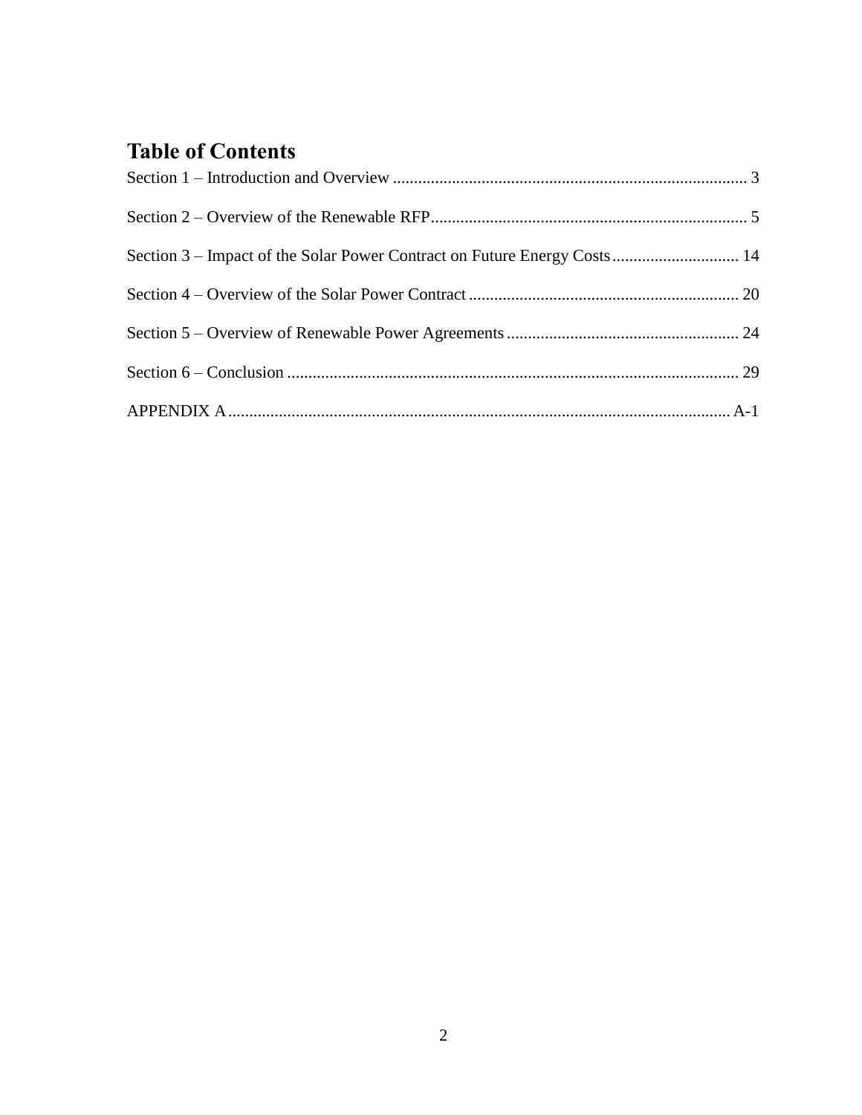### **Table of Contents**

| Section 3 – Impact of the Solar Power Contract on Future Energy Costs 14 |  |
|--------------------------------------------------------------------------|--|
|                                                                          |  |
|                                                                          |  |
|                                                                          |  |
|                                                                          |  |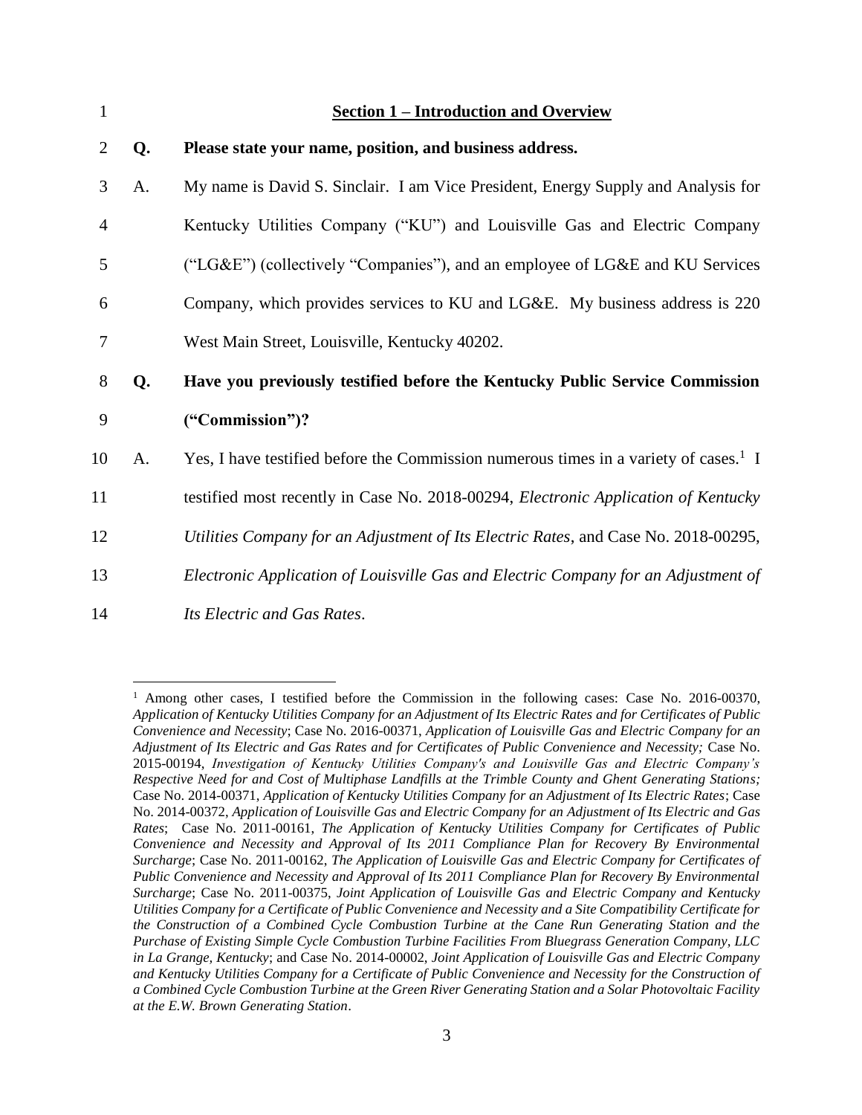<span id="page-2-0"></span>

| $\mathbf{1}$   |    | <b>Section 1 - Introduction and Overview</b>                                                     |
|----------------|----|--------------------------------------------------------------------------------------------------|
| 2              | Q. | Please state your name, position, and business address.                                          |
| 3              | A. | My name is David S. Sinclair. I am Vice President, Energy Supply and Analysis for                |
| $\overline{4}$ |    | Kentucky Utilities Company ("KU") and Louisville Gas and Electric Company                        |
| 5              |    | ("LG&E") (collectively "Companies"), and an employee of LG&E and KU Services                     |
| 6              |    | Company, which provides services to KU and LG&E. My business address is 220                      |
| 7              |    | West Main Street, Louisville, Kentucky 40202.                                                    |
| 8              | Q. | Have you previously testified before the Kentucky Public Service Commission                      |
| 9              |    | ("Commission")?                                                                                  |
| 10             | A. | Yes, I have testified before the Commission numerous times in a variety of cases. <sup>1</sup> I |
| 11             |    | testified most recently in Case No. 2018-00294, Electronic Application of Kentucky               |
| 12             |    | Utilities Company for an Adjustment of Its Electric Rates, and Case No. 2018-00295,              |
| 13             |    | Electronic Application of Louisville Gas and Electric Company for an Adjustment of               |
| 14             |    | Its Electric and Gas Rates.                                                                      |

<sup>1</sup> Among other cases, I testified before the Commission in the following cases: Case No. 2016-00370, *Application of Kentucky Utilities Company for an Adjustment of Its Electric Rates and for Certificates of Public Convenience and Necessity*; Case No. 2016-00371, *Application of Louisville Gas and Electric Company for an Adjustment of Its Electric and Gas Rates and for Certificates of Public Convenience and Necessity;* Case No. 2015-00194, *Investigation of Kentucky Utilities Company's and Louisville Gas and Electric Company's Respective Need for and Cost of Multiphase Landfills at the Trimble County and Ghent Generating Stations;*  Case No. 2014-00371, *Application of Kentucky Utilities Company for an Adjustment of Its Electric Rates*; Case No. 2014-00372, *Application of Louisville Gas and Electric Company for an Adjustment of Its Electric and Gas Rates*; Case No. 2011-00161, *The Application of Kentucky Utilities Company for Certificates of Public Convenience and Necessity and Approval of Its 2011 Compliance Plan for Recovery By Environmental Surcharge*; Case No. 2011-00162, *The Application of Louisville Gas and Electric Company for Certificates of Public Convenience and Necessity and Approval of Its 2011 Compliance Plan for Recovery By Environmental Surcharge*; Case No. 2011-00375, *Joint Application of Louisville Gas and Electric Company and Kentucky Utilities Company for a Certificate of Public Convenience and Necessity and a Site Compatibility Certificate for the Construction of a Combined Cycle Combustion Turbine at the Cane Run Generating Station and the Purchase of Existing Simple Cycle Combustion Turbine Facilities From Bluegrass Generation Company, LLC in La Grange, Kentucky*; and Case No. 2014-00002, *Joint Application of Louisville Gas and Electric Company and Kentucky Utilities Company for a Certificate of Public Convenience and Necessity for the Construction of a Combined Cycle Combustion Turbine at the Green River Generating Station and a Solar Photovoltaic Facility at the E.W. Brown Generating Station*.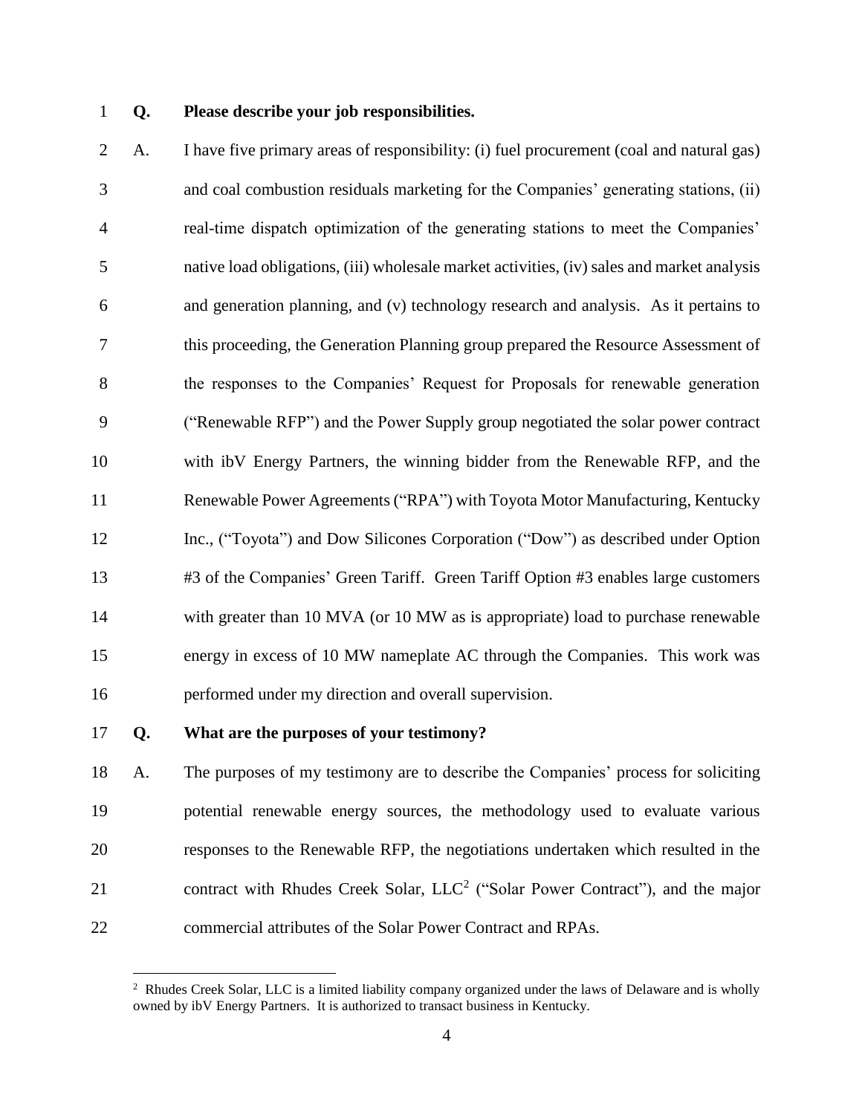### **Q. Please describe your job responsibilities.**

 A. I have five primary areas of responsibility: (i) fuel procurement (coal and natural gas) and coal combustion residuals marketing for the Companies' generating stations, (ii) real-time dispatch optimization of the generating stations to meet the Companies' native load obligations, (iii) wholesale market activities, (iv) sales and market analysis and generation planning, and (v) technology research and analysis. As it pertains to this proceeding, the Generation Planning group prepared the Resource Assessment of the responses to the Companies' Request for Proposals for renewable generation ("Renewable RFP") and the Power Supply group negotiated the solar power contract with ibV Energy Partners, the winning bidder from the Renewable RFP, and the Renewable Power Agreements ("RPA") with Toyota Motor Manufacturing, Kentucky Inc., ("Toyota") and Dow Silicones Corporation ("Dow") as described under Option #3 of the Companies' Green Tariff. Green Tariff Option #3 enables large customers with greater than 10 MVA (or 10 MW as is appropriate) load to purchase renewable energy in excess of 10 MW nameplate AC through the Companies. This work was performed under my direction and overall supervision.

#### **Q. What are the purposes of your testimony?**

 A. The purposes of my testimony are to describe the Companies' process for soliciting potential renewable energy sources, the methodology used to evaluate various responses to the Renewable RFP, the negotiations undertaken which resulted in the 21 contract with Rhudes Creek Solar,  $LLC<sup>2</sup>$  ("Solar Power Contract"), and the major commercial attributes of the Solar Power Contract and RPAs.

<sup>&</sup>lt;sup>2</sup> Rhudes Creek Solar, LLC is a limited liability company organized under the laws of Delaware and is wholly owned by ibV Energy Partners. It is authorized to transact business in Kentucky.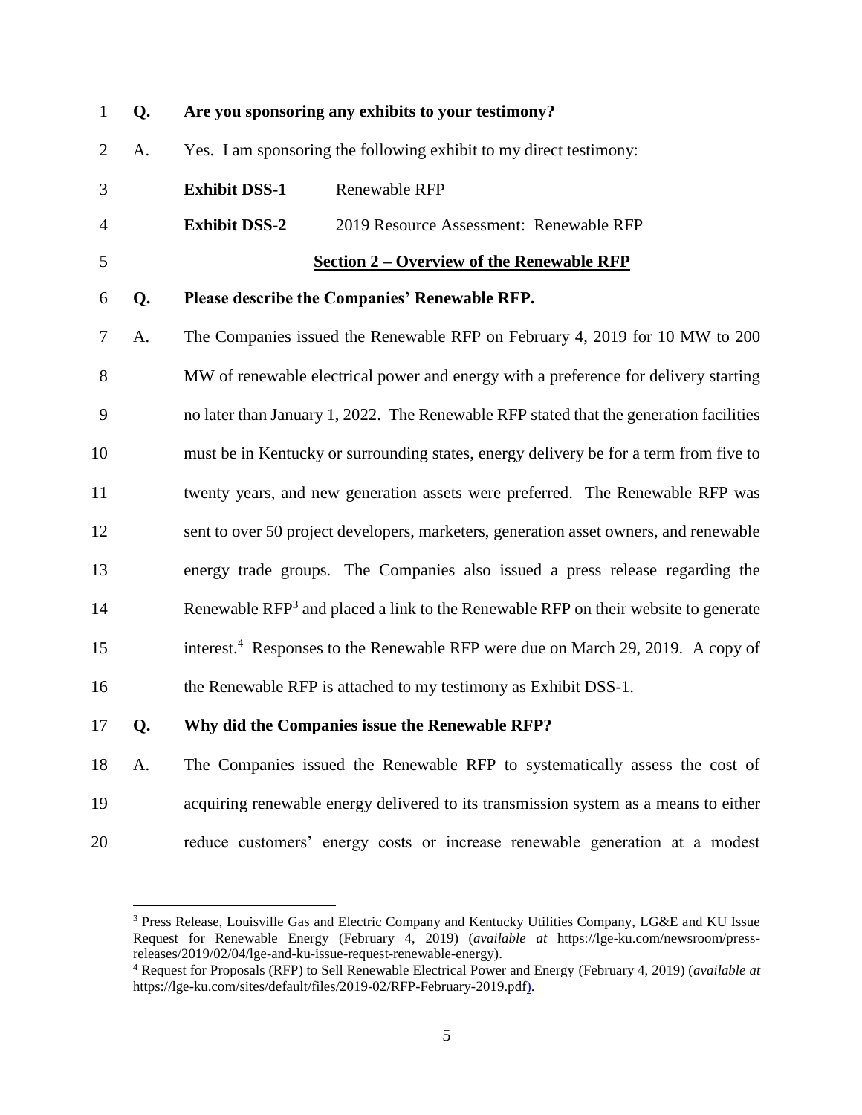<span id="page-4-0"></span>

| $\mathbf{1}$   | Q. |                      | Are you sponsoring any exhibits to your testimony?                                             |
|----------------|----|----------------------|------------------------------------------------------------------------------------------------|
| $\overline{2}$ | A. |                      | Yes. I am sponsoring the following exhibit to my direct testimony:                             |
| 3              |    | <b>Exhibit DSS-1</b> | Renewable RFP                                                                                  |
| 4              |    | <b>Exhibit DSS-2</b> | 2019 Resource Assessment: Renewable RFP                                                        |
| 5              |    |                      | <b>Section 2 – Overview of the Renewable RFP</b>                                               |
| 6              | Q. |                      | Please describe the Companies' Renewable RFP.                                                  |
| 7              | A. |                      | The Companies issued the Renewable RFP on February 4, 2019 for 10 MW to 200                    |
| 8              |    |                      | MW of renewable electrical power and energy with a preference for delivery starting            |
| 9              |    |                      | no later than January 1, 2022. The Renewable RFP stated that the generation facilities         |
| 10             |    |                      | must be in Kentucky or surrounding states, energy delivery be for a term from five to          |
| 11             |    |                      | twenty years, and new generation assets were preferred. The Renewable RFP was                  |
| 12             |    |                      | sent to over 50 project developers, marketers, generation asset owners, and renewable          |
| 13             |    |                      | energy trade groups. The Companies also issued a press release regarding the                   |
| 14             |    |                      | Renewable RFP <sup>3</sup> and placed a link to the Renewable RFP on their website to generate |
| 15             |    |                      | interest. <sup>4</sup> Responses to the Renewable RFP were due on March 29, 2019. A copy of    |
| 16             |    |                      | the Renewable RFP is attached to my testimony as Exhibit DSS-1.                                |
| 17             | Q. |                      | Why did the Companies issue the Renewable RFP?                                                 |
| 18             | A. |                      | The Companies issued the Renewable RFP to systematically assess the cost of                    |
| 19             |    |                      | acquiring renewable energy delivered to its transmission system as a means to either           |

reduce customers' energy costs or increase renewable generation at a modest

 Press Release, Louisville Gas and Electric Company and Kentucky Utilities Company, LG&E and KU Issue Request for Renewable Energy (February 4, 2019) (*available at* https://lge-ku.com/newsroom/pressreleases/2019/02/04/lge-and-ku-issue-request-renewable-energy).

 Request for Proposals (RFP) to Sell Renewable Electrical Power and Energy (February 4, 2019) (*available at* https://lge-ku.com/sites/default/files/2019-02/RFP-February-2019.pdf).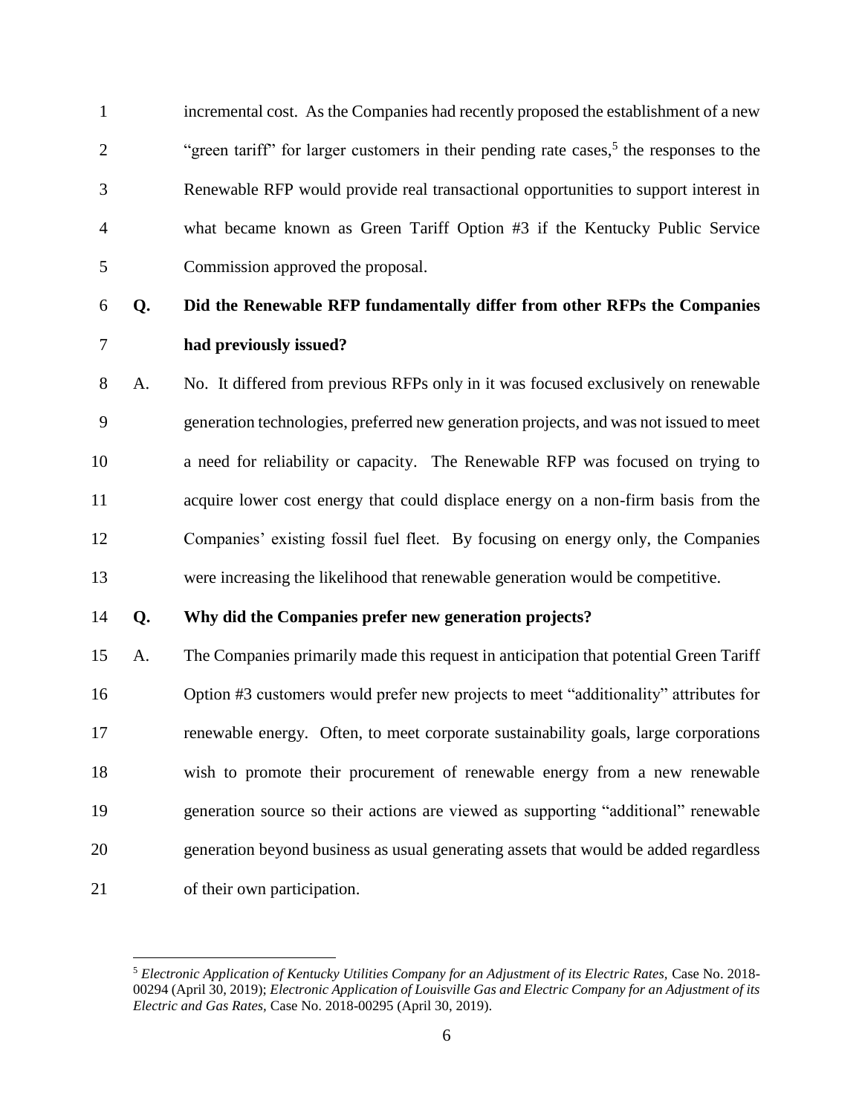incremental cost. As the Companies had recently proposed the establishment of a new <sup>2</sup> "green tariff" for larger customers in their pending rate cases,<sup>5</sup> the responses to the Renewable RFP would provide real transactional opportunities to support interest in what became known as Green Tariff Option #3 if the Kentucky Public Service Commission approved the proposal.

### **Q. Did the Renewable RFP fundamentally differ from other RFPs the Companies had previously issued?**

 A. No. It differed from previous RFPs only in it was focused exclusively on renewable generation technologies, preferred new generation projects, and was not issued to meet a need for reliability or capacity. The Renewable RFP was focused on trying to acquire lower cost energy that could displace energy on a non-firm basis from the Companies' existing fossil fuel fleet. By focusing on energy only, the Companies were increasing the likelihood that renewable generation would be competitive.

### **Q. Why did the Companies prefer new generation projects?**

 A. The Companies primarily made this request in anticipation that potential Green Tariff Option #3 customers would prefer new projects to meet "additionality" attributes for renewable energy. Often, to meet corporate sustainability goals, large corporations wish to promote their procurement of renewable energy from a new renewable generation source so their actions are viewed as supporting "additional" renewable generation beyond business as usual generating assets that would be added regardless of their own participation.

 *Electronic Application of Kentucky Utilities Company for an Adjustment of its Electric Rates,* Case No. 2018- 00294 (April 30, 2019); *Electronic Application of Louisville Gas and Electric Company for an Adjustment of its Electric and Gas Rates,* Case No. 2018-00295 (April 30, 2019).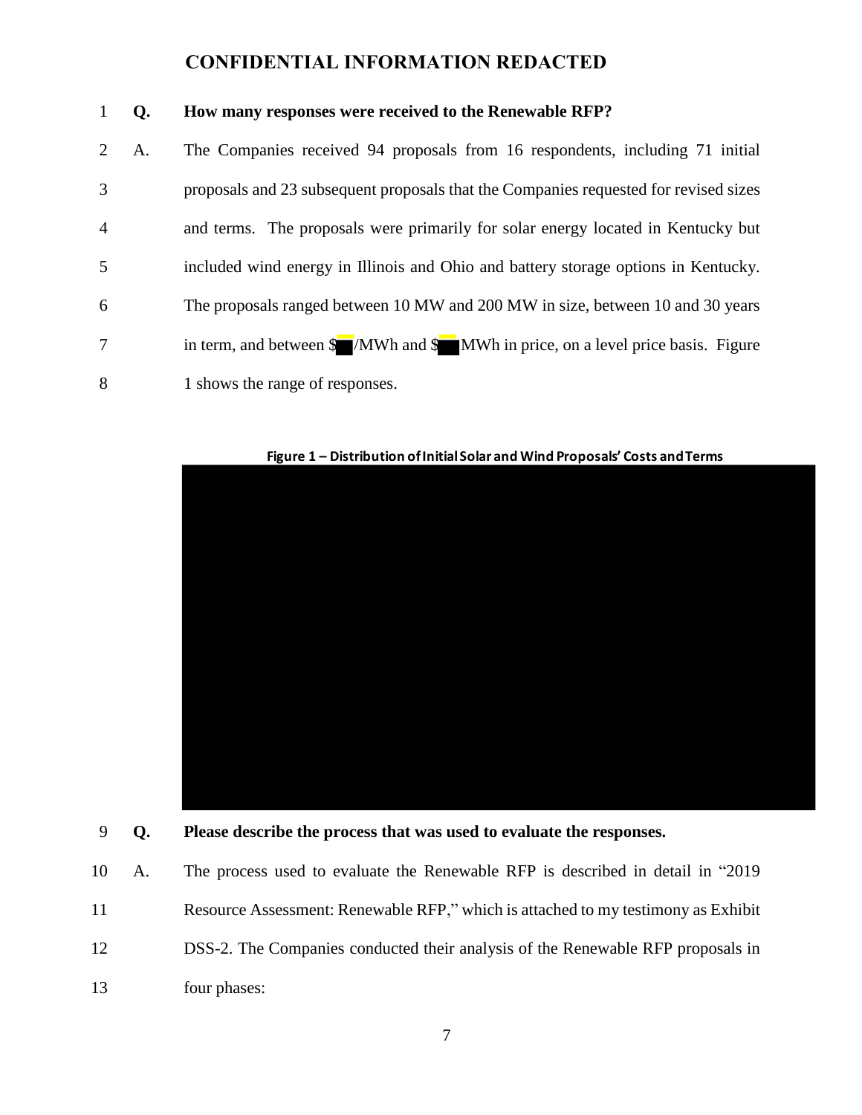### **Q. How many responses were received to the Renewable RFP?**

| $\overline{2}$ | A. | The Companies received 94 proposals from 16 respondents, including 71 initial        |
|----------------|----|--------------------------------------------------------------------------------------|
| 3              |    | proposals and 23 subsequent proposals that the Companies requested for revised sizes |
| $\overline{4}$ |    | and terms. The proposals were primarily for solar energy located in Kentucky but     |
| 5              |    | included wind energy in Illinois and Ohio and battery storage options in Kentucky.   |
| 6              |    | The proposals ranged between 10 MW and 200 MW in size, between 10 and 30 years       |
| 7              |    | in term, and between \$ /MWh and \$ MWh in price, on a level price basis. Figure     |
| 8              |    | 1 shows the range of responses.                                                      |



**Figure 1 – Distribution of Initial Solar and Wind Proposals' Costs and Terms**

### **Q. Please describe the process that was used to evaluate the responses.**

|    | 10 A. | The process used to evaluate the Renewable RFP is described in detail in "2019"   |
|----|-------|-----------------------------------------------------------------------------------|
| 11 |       | Resource Assessment: Renewable RFP," which is attached to my testimony as Exhibit |
| 12 |       | DSS-2. The Companies conducted their analysis of the Renewable RFP proposals in   |
| 13 |       | four phases:                                                                      |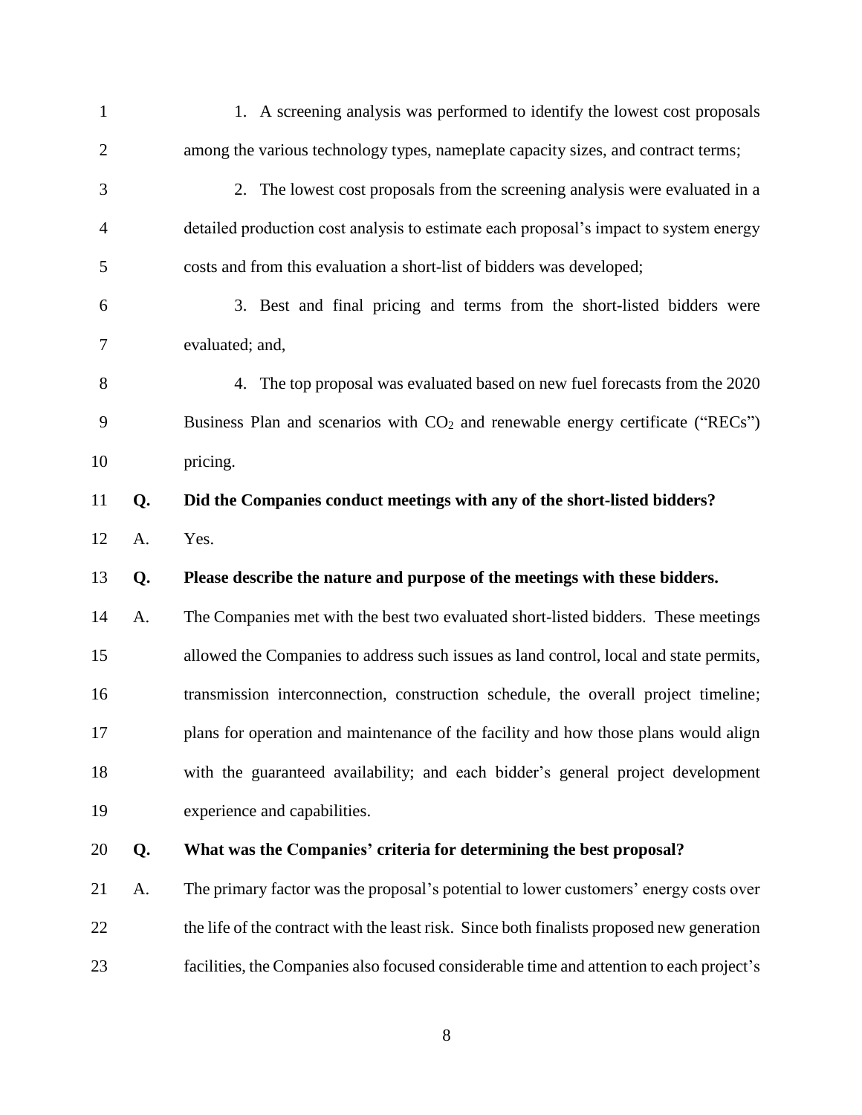| 1              |    | 1. A screening analysis was performed to identify the lowest cost proposals                |
|----------------|----|--------------------------------------------------------------------------------------------|
| $\overline{2}$ |    | among the various technology types, nameplate capacity sizes, and contract terms;          |
| 3              |    | 2. The lowest cost proposals from the screening analysis were evaluated in a               |
| 4              |    | detailed production cost analysis to estimate each proposal's impact to system energy      |
| 5              |    | costs and from this evaluation a short-list of bidders was developed;                      |
| 6              |    | 3. Best and final pricing and terms from the short-listed bidders were                     |
| 7              |    | evaluated; and,                                                                            |
| 8              |    | 4. The top proposal was evaluated based on new fuel forecasts from the 2020                |
| 9              |    | Business Plan and scenarios with CO <sub>2</sub> and renewable energy certificate ("RECs") |
| 10             |    | pricing.                                                                                   |
| 11             | Q. | Did the Companies conduct meetings with any of the short-listed bidders?                   |
| 12             | A. | Yes.                                                                                       |
| 13             | Q. | Please describe the nature and purpose of the meetings with these bidders.                 |
| 14             | A. | The Companies met with the best two evaluated short-listed bidders. These meetings         |
| 15             |    | allowed the Companies to address such issues as land control, local and state permits,     |
| 16             |    | transmission interconnection, construction schedule, the overall project timeline;         |
| 17             |    | plans for operation and maintenance of the facility and how those plans would align        |
| 18             |    | with the guaranteed availability; and each bidder's general project development            |
| 19             |    | experience and capabilities.                                                               |
| 20             | Q. | What was the Companies' criteria for determining the best proposal?                        |
| 21             | A. | The primary factor was the proposal's potential to lower customers' energy costs over      |
| 22             |    | the life of the contract with the least risk. Since both finalists proposed new generation |
| 23             |    | facilities, the Companies also focused considerable time and attention to each project's   |
|                |    |                                                                                            |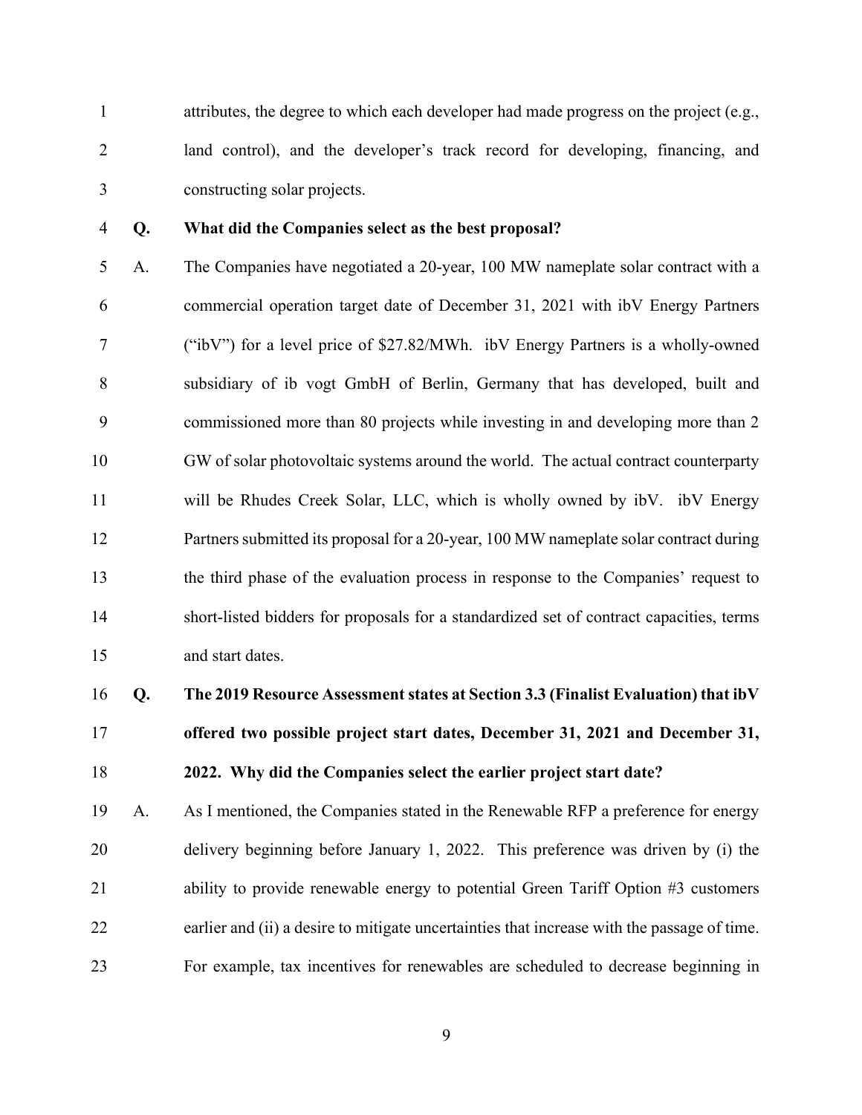1 attributes, the degree to which each developer had made progress on the project (e.g., 2 land control), and the developer's track record for developing, financing, and 3 constructing solar projects.

#### 4 Q. What did the Companies select as the best proposal?

5 A. The Companies have negotiated a 20-year, 100 MW nameplate solar contract with a 6 commercial operation target date of December 31, 2021 with ibV Energy Partners 7 ("ibV") for a level price of \$27.82/MWh. ibV Energy Partners is a wholly-owned 8 subsidiary of ib vogt GmbH of Berlin, Germany that has developed, built and 9 commissioned more than 80 projects while investing in and developing more than 2 10 GW of solar photovoltaic systems around the world. The actual contract counterparty 11 will be Rhudes Creek Solar, LLC, which is wholly owned by ibV. ibV Energy 12 Partners submitted its proposal for a 20-year, 100 MW nameplate solar contract during 13 the third phase of the evaluation process in response to the Companies' request to 14 short-listed bidders for proposals for a standardized set of contract capacities, terms 15 and start dates.

## 16 Q. The 2019 Resource Assessment states at Section 3.3 (Finalist Evaluation) that ibV 17 offered two possible project start dates, December 31, 2021 and December 31, 18 2022. Why did the Companies select the earlier project start date?

19 A. As I mentioned, the Companies stated in the Renewable RFP a preference for energy 20 delivery beginning before January 1, 2022. This preference was driven by (i) the 21 ability to provide renewable energy to potential Green Tariff Option #3 customers 22 earlier and (ii) a desire to mitigate uncertainties that increase with the passage of time. 23 For example, tax incentives for renewables are scheduled to decrease beginning in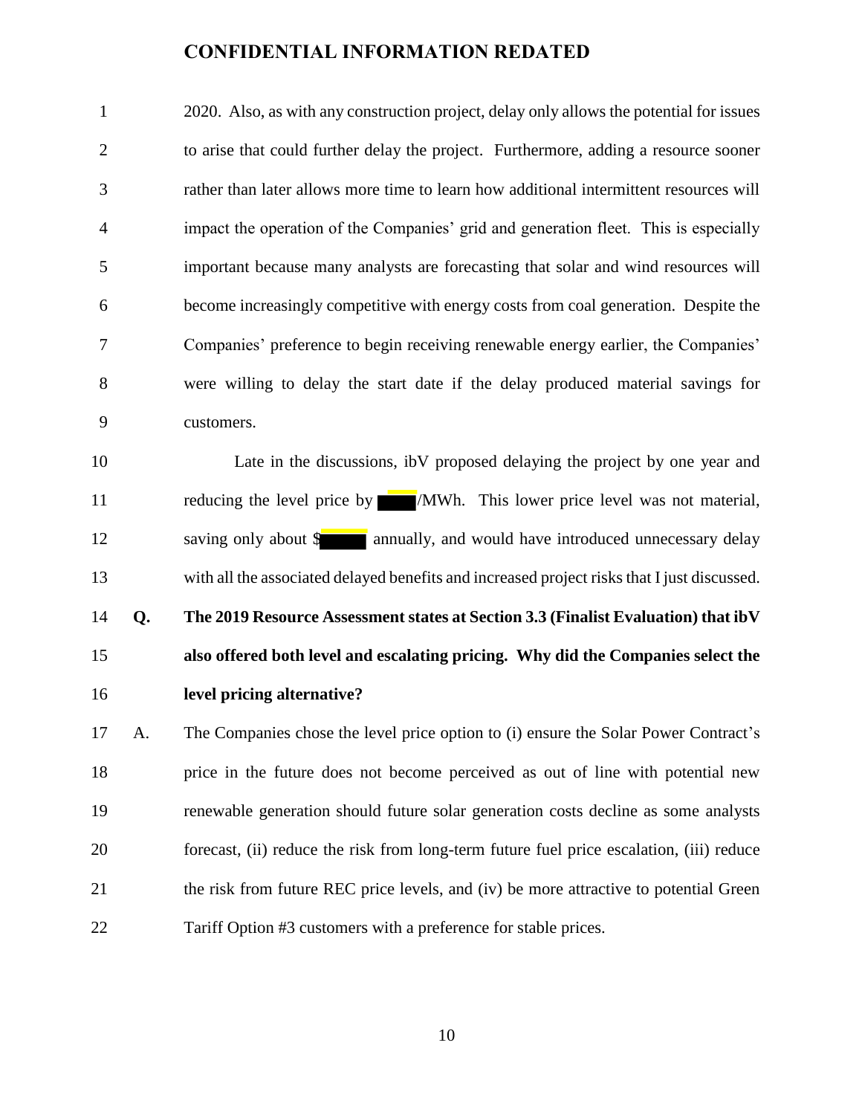2020. Also, as with any construction project, delay only allows the potential for issues to arise that could further delay the project. Furthermore, adding a resource sooner rather than later allows more time to learn how additional intermittent resources will impact the operation of the Companies' grid and generation fleet. This is especially important because many analysts are forecasting that solar and wind resources will become increasingly competitive with energy costs from coal generation. Despite the Companies' preference to begin receiving renewable energy earlier, the Companies' were willing to delay the start date if the delay produced material savings for customers.

 Late in the discussions, ibV proposed delaying the project by one year and 11 reducing the level price by **MWh.** This lower price level was not material, 12 saving only about \$ annually, and would have introduced unnecessary delay with all the associated delayed benefits and increased project risksthat I just discussed. **Q. The 2019 Resource Assessment states at Section 3.3 (Finalist Evaluation) that ibV also offered both level and escalating pricing. Why did the Companies select the level pricing alternative?**

 A. The Companies chose the level price option to (i) ensure the Solar Power Contract's price in the future does not become perceived as out of line with potential new renewable generation should future solar generation costs decline as some analysts forecast, (ii) reduce the risk from long-term future fuel price escalation, (iii) reduce 21 the risk from future REC price levels, and (iv) be more attractive to potential Green Tariff Option #3 customers with a preference for stable prices.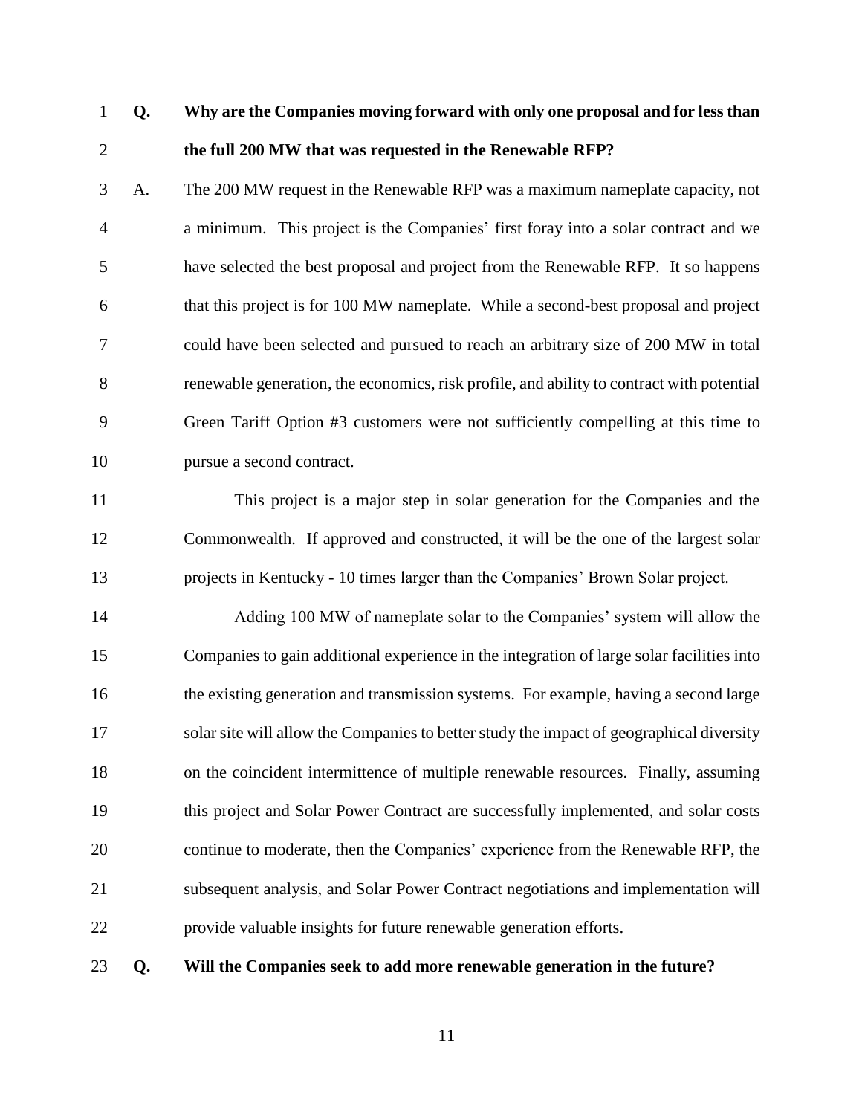### **Q. Why are the Companies moving forward with only one proposal and for less than the full 200 MW that was requested in the Renewable RFP?**

 A. The 200 MW request in the Renewable RFP was a maximum nameplate capacity, not a minimum. This project is the Companies' first foray into a solar contract and we have selected the best proposal and project from the Renewable RFP. It so happens that this project is for 100 MW nameplate. While a second-best proposal and project could have been selected and pursued to reach an arbitrary size of 200 MW in total renewable generation, the economics, risk profile, and ability to contract with potential Green Tariff Option #3 customers were not sufficiently compelling at this time to pursue a second contract.

 This project is a major step in solar generation for the Companies and the Commonwealth. If approved and constructed, it will be the one of the largest solar projects in Kentucky - 10 times larger than the Companies' Brown Solar project.

 Adding 100 MW of nameplate solar to the Companies' system will allow the Companies to gain additional experience in the integration of large solar facilities into the existing generation and transmission systems. For example, having a second large solar site will allow the Companies to better study the impact of geographical diversity on the coincident intermittence of multiple renewable resources. Finally, assuming this project and Solar Power Contract are successfully implemented, and solar costs continue to moderate, then the Companies' experience from the Renewable RFP, the subsequent analysis, and Solar Power Contract negotiations and implementation will provide valuable insights for future renewable generation efforts.

**Q. Will the Companies seek to add more renewable generation in the future?**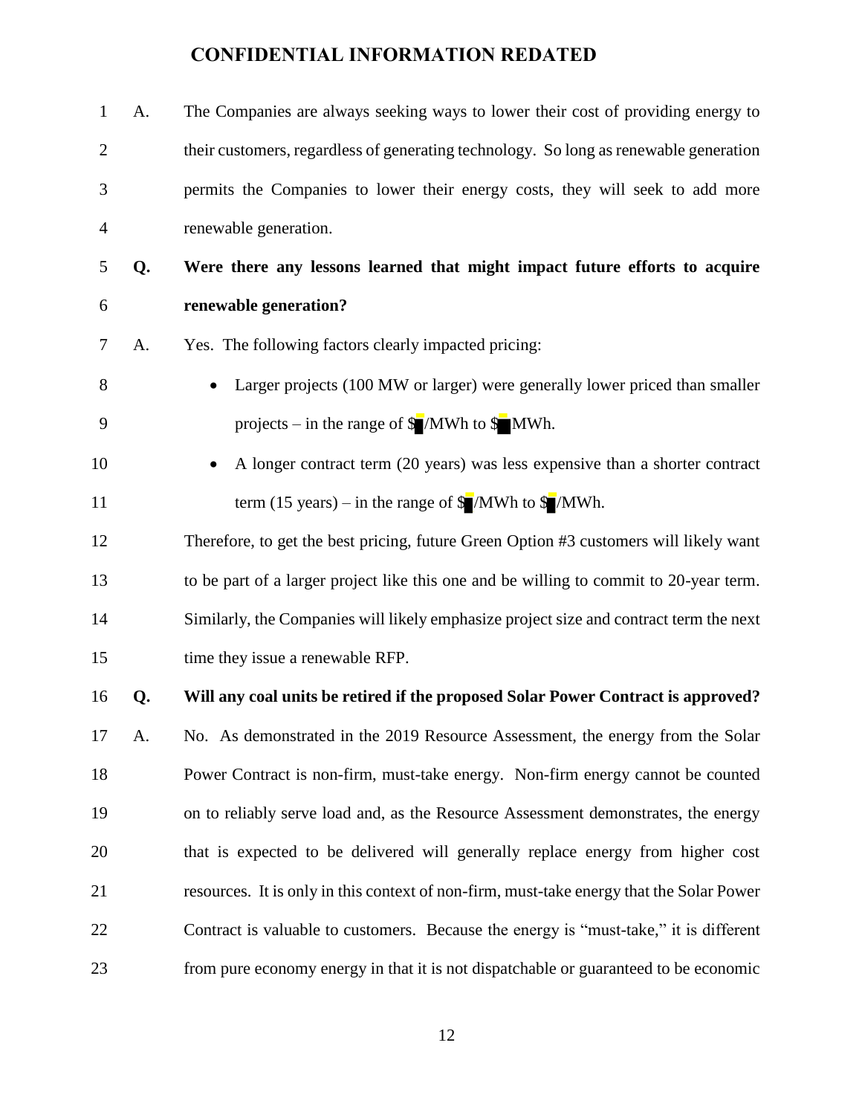| $\mathbf{1}$   | A. | The Companies are always seeking ways to lower their cost of providing energy to          |
|----------------|----|-------------------------------------------------------------------------------------------|
| $\overline{2}$ |    | their customers, regardless of generating technology. So long as renewable generation     |
| 3              |    | permits the Companies to lower their energy costs, they will seek to add more             |
| 4              |    | renewable generation.                                                                     |
| 5              | Q. | Were there any lessons learned that might impact future efforts to acquire                |
| 6              |    | renewable generation?                                                                     |
| $\tau$         | A. | Yes. The following factors clearly impacted pricing:                                      |
| 8              |    | Larger projects (100 MW or larger) were generally lower priced than smaller               |
| 9              |    | projects – in the range of $\sqrt{\frac{1}{2}}$ MWh to $\sqrt{\frac{1}{2}}$ MWh.          |
| 10             |    | A longer contract term (20 years) was less expensive than a shorter contract              |
| 11             |    | term (15 years) – in the range of $\sqrt{\frac{1}{2}}$ /MWh to $\sqrt{\frac{1}{2}}$ /MWh. |
| 12             |    | Therefore, to get the best pricing, future Green Option #3 customers will likely want     |
| 13             |    | to be part of a larger project like this one and be willing to commit to 20-year term.    |
| 14             |    | Similarly, the Companies will likely emphasize project size and contract term the next    |
| 15             |    | time they issue a renewable RFP.                                                          |
| 16             | Q. | Will any coal units be retired if the proposed Solar Power Contract is approved?          |
| 17             | А. | No. As demonstrated in the 2019 Resource Assessment, the energy from the Solar            |
| 18             |    | Power Contract is non-firm, must-take energy. Non-firm energy cannot be counted           |
| 19             |    | on to reliably serve load and, as the Resource Assessment demonstrates, the energy        |
| 20             |    | that is expected to be delivered will generally replace energy from higher cost           |
| 21             |    | resources. It is only in this context of non-firm, must-take energy that the Solar Power  |
| 22             |    | Contract is valuable to customers. Because the energy is "must-take," it is different     |
| 23             |    | from pure economy energy in that it is not dispatchable or guaranteed to be economic      |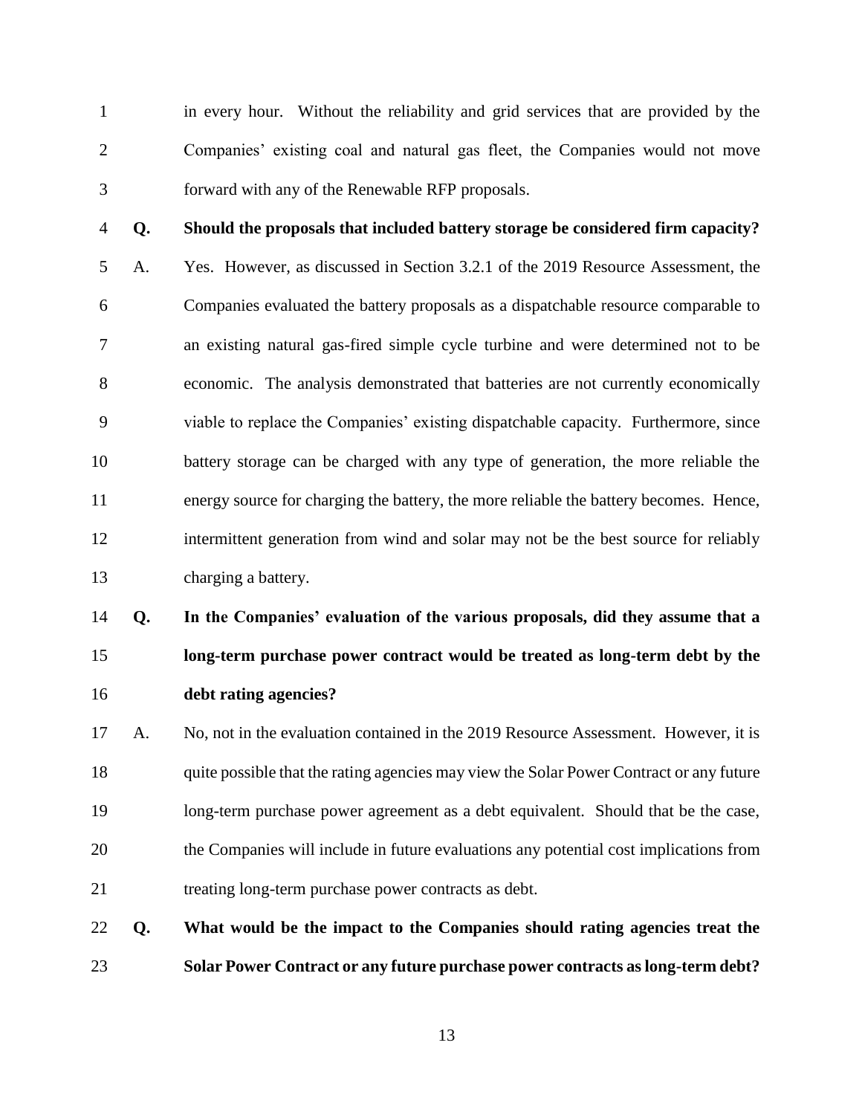in every hour. Without the reliability and grid services that are provided by the Companies' existing coal and natural gas fleet, the Companies would not move forward with any of the Renewable RFP proposals.

**Q. Should the proposals that included battery storage be considered firm capacity?**

 A. Yes. However, as discussed in Section 3.2.1 of the 2019 Resource Assessment, the Companies evaluated the battery proposals as a dispatchable resource comparable to an existing natural gas-fired simple cycle turbine and were determined not to be economic. The analysis demonstrated that batteries are not currently economically viable to replace the Companies' existing dispatchable capacity. Furthermore, since battery storage can be charged with any type of generation, the more reliable the energy source for charging the battery, the more reliable the battery becomes. Hence, intermittent generation from wind and solar may not be the best source for reliably charging a battery.

 **Q. In the Companies' evaluation of the various proposals, did they assume that a long-term purchase power contract would be treated as long-term debt by the debt rating agencies?**

 A. No, not in the evaluation contained in the 2019 Resource Assessment. However, it is 18 quite possible that the rating agencies may view the Solar Power Contract or any future long-term purchase power agreement as a debt equivalent. Should that be the case, the Companies will include in future evaluations any potential cost implications from treating long-term purchase power contracts as debt.

 **Q. What would be the impact to the Companies should rating agencies treat the Solar Power Contract or any future purchase power contracts as long-term debt?**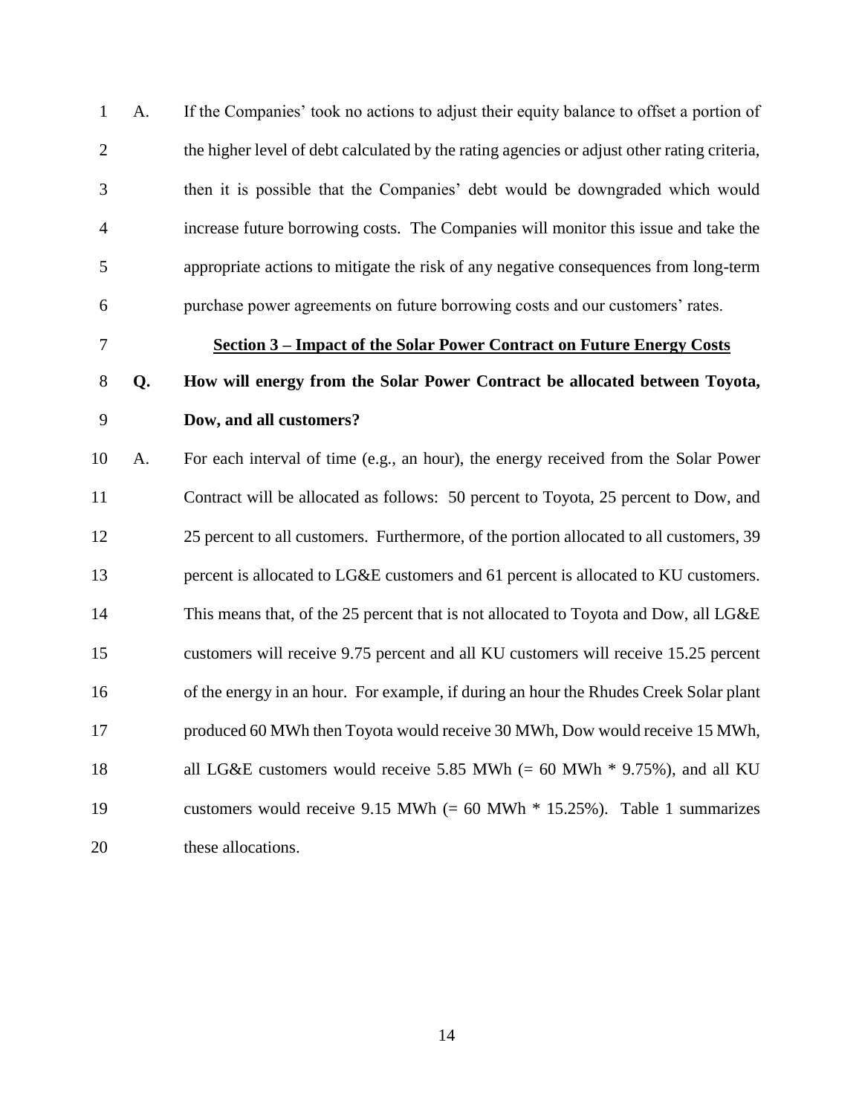A. If the Companies' took no actions to adjust their equity balance to offset a portion of the higher level of debt calculated by the rating agencies or adjust other rating criteria, then it is possible that the Companies' debt would be downgraded which would increase future borrowing costs. The Companies will monitor this issue and take the appropriate actions to mitigate the risk of any negative consequences from long-term purchase power agreements on future borrowing costs and our customers' rates.

### <span id="page-13-0"></span>**Section 3 – Impact of the Solar Power Contract on Future Energy Costs**

### **Q. How will energy from the Solar Power Contract be allocated between Toyota, Dow, and all customers?**

 A. For each interval of time (e.g., an hour), the energy received from the Solar Power Contract will be allocated as follows: 50 percent to Toyota, 25 percent to Dow, and 25 percent to all customers. Furthermore, of the portion allocated to all customers, 39 13 percent is allocated to LG&E customers and 61 percent is allocated to KU customers. 14 This means that, of the 25 percent that is not allocated to Toyota and Dow, all LG&E customers will receive 9.75 percent and all KU customers will receive 15.25 percent of the energy in an hour. For example, if during an hour the Rhudes Creek Solar plant produced 60 MWh then Toyota would receive 30 MWh, Dow would receive 15 MWh, 18 all LG&E customers would receive 5.85 MWh (= 60 MWh  $*$  9.75%), and all KU customers would receive 9.15 MWh (= 60 MWh \* 15.25%). Table 1 summarizes these allocations.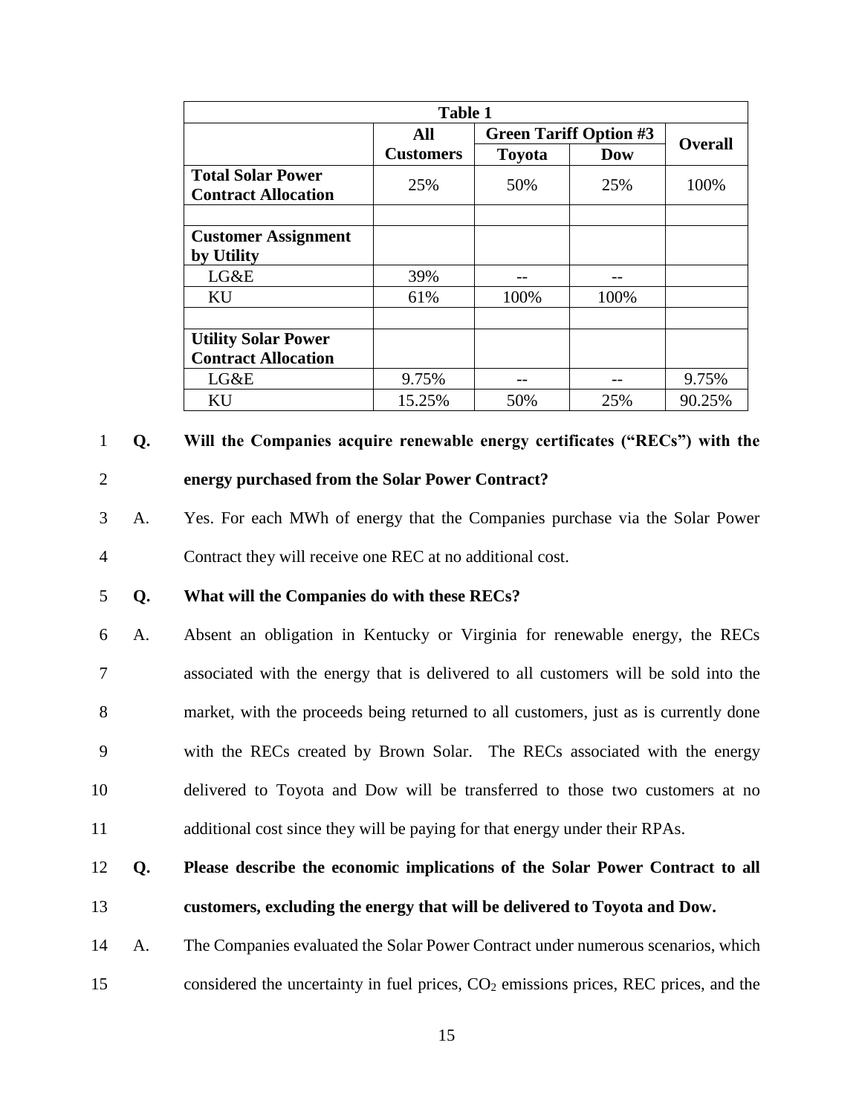|                            | <b>Table 1</b>   |               |                               |                |
|----------------------------|------------------|---------------|-------------------------------|----------------|
|                            | All              |               | <b>Green Tariff Option #3</b> | <b>Overall</b> |
|                            | <b>Customers</b> | <b>Toyota</b> | <b>Dow</b>                    |                |
| <b>Total Solar Power</b>   | 25%              | 50%           | 25%                           | 100%           |
| <b>Contract Allocation</b> |                  |               |                               |                |
|                            |                  |               |                               |                |
| <b>Customer Assignment</b> |                  |               |                               |                |
| by Utility                 |                  |               |                               |                |
| LG&E                       | 39%              | --            |                               |                |
| KU                         | 61%              | 100%          | 100%                          |                |
|                            |                  |               |                               |                |
| <b>Utility Solar Power</b> |                  |               |                               |                |
| <b>Contract Allocation</b> |                  |               |                               |                |
| LG&E                       | 9.75%            |               |                               | 9.75%          |
| KU                         | 15.25%           | 50%           | 25%                           | 90.25%         |

1 **Q. Will the Companies acquire renewable energy certificates ("RECs") with the** 

### 2 **energy purchased from the Solar Power Contract?**

3 A. Yes. For each MWh of energy that the Companies purchase via the Solar Power 4 Contract they will receive one REC at no additional cost.

### 5 **Q. What will the Companies do with these RECs?**

 A. Absent an obligation in Kentucky or Virginia for renewable energy, the RECs associated with the energy that is delivered to all customers will be sold into the market, with the proceeds being returned to all customers, just as is currently done with the RECs created by Brown Solar. The RECs associated with the energy delivered to Toyota and Dow will be transferred to those two customers at no additional cost since they will be paying for that energy under their RPAs.

### 12 **Q. Please describe the economic implications of the Solar Power Contract to all** 13 **customers, excluding the energy that will be delivered to Toyota and Dow.**

14 A. The Companies evaluated the Solar Power Contract under numerous scenarios, which 15 considered the uncertainty in fuel prices,  $CO<sub>2</sub>$  emissions prices, REC prices, and the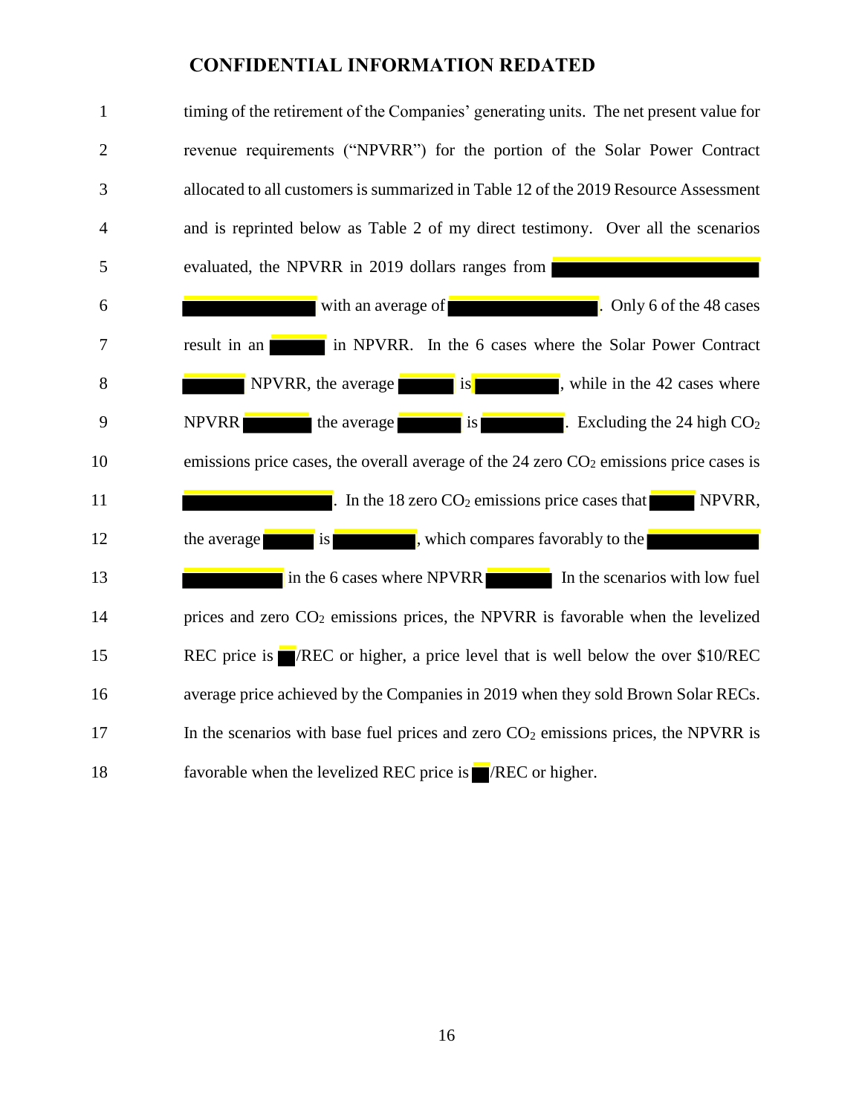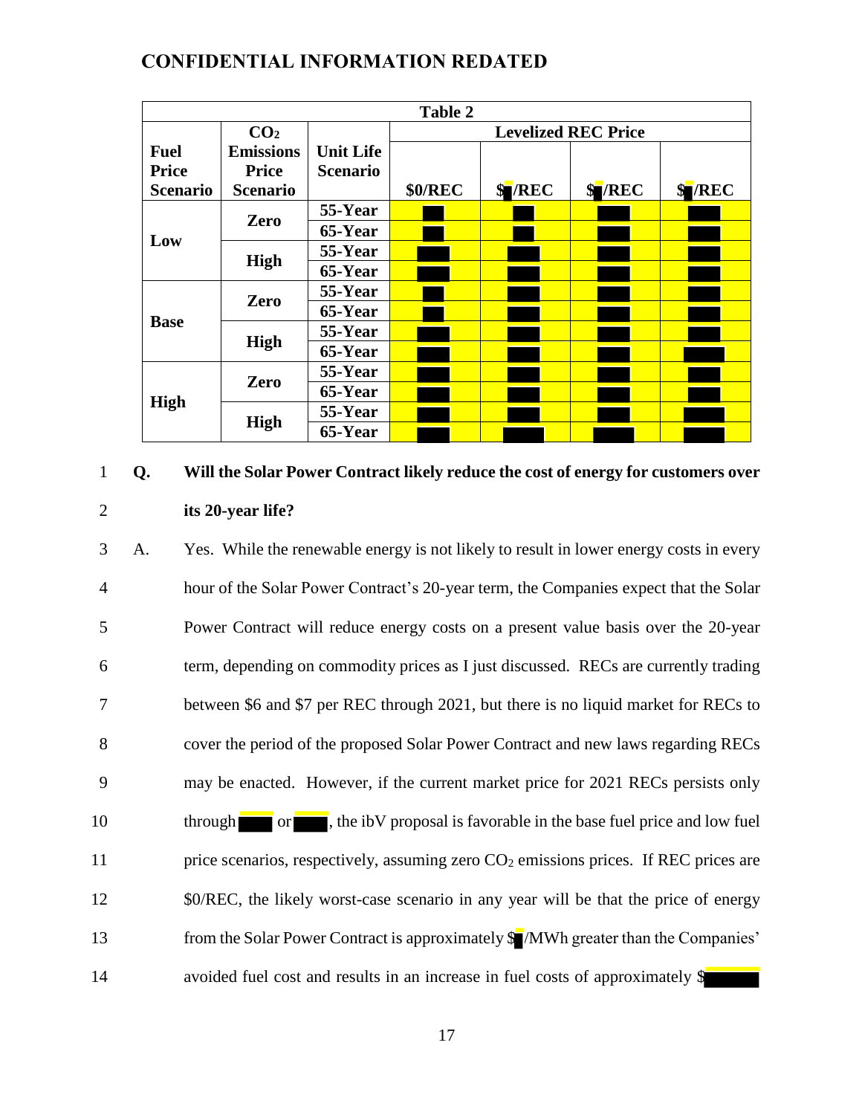|                 |                  |                  | <b>Table 2</b> |                            |        |              |
|-----------------|------------------|------------------|----------------|----------------------------|--------|--------------|
|                 | CO <sub>2</sub>  |                  |                | <b>Levelized REC Price</b> |        |              |
| <b>Fuel</b>     | <b>Emissions</b> | <b>Unit Life</b> |                |                            |        |              |
| <b>Price</b>    | <b>Price</b>     | <b>Scenario</b>  |                |                            |        |              |
| <b>Scenario</b> | <b>Scenario</b>  |                  | <b>\$0/REC</b> | <b>S</b> /REC              | \$/REC | <b>SVREC</b> |
|                 | Zero             | 55-Year          |                |                            |        |              |
| Low             |                  | 65-Year          |                |                            |        |              |
|                 | High             | 55-Year          |                |                            |        |              |
|                 |                  | 65-Year          |                |                            |        |              |
|                 | Zero             | 55-Year          |                |                            |        |              |
|                 |                  | 65-Year          |                |                            |        |              |
| <b>Base</b>     | High             | 55-Year          |                |                            |        |              |
|                 |                  | 65-Year          |                |                            |        |              |
|                 | Zero             | 55-Year          |                |                            |        |              |
|                 |                  | 65-Year          |                |                            |        |              |
| <b>High</b>     |                  | 55-Year          |                |                            |        |              |
|                 | <b>High</b>      | 65-Year          |                |                            |        |              |

### 1 **Q. Will the Solar Power Contract likely reduce the cost of energy for customers over**  2 **its 20-year life?**

 A. Yes. While the renewable energy is not likely to result in lower energy costs in every hour of the Solar Power Contract's 20-year term, the Companies expect that the Solar Power Contract will reduce energy costs on a present value basis over the 20-year term, depending on commodity prices as I just discussed. RECs are currently trading between \$6 and \$7 per REC through 2021, but there is no liquid market for RECs to cover the period of the proposed Solar Power Contract and new laws regarding RECs may be enacted. However, if the current market price for 2021 RECs persists only 10 through or , the ibV proposal is favorable in the base fuel price and low fuel 11 price scenarios, respectively, assuming zero  $CO<sub>2</sub>$  emissions prices. If REC prices are 12 \$0/REC, the likely worst-case scenario in any year will be that the price of energy 13 from the Solar Power Contract is approximately  $\sqrt{\frac{1}{2}}$  MWh greater than the Companies' avoided fuel cost and results in an increase in fuel costs of approximately \$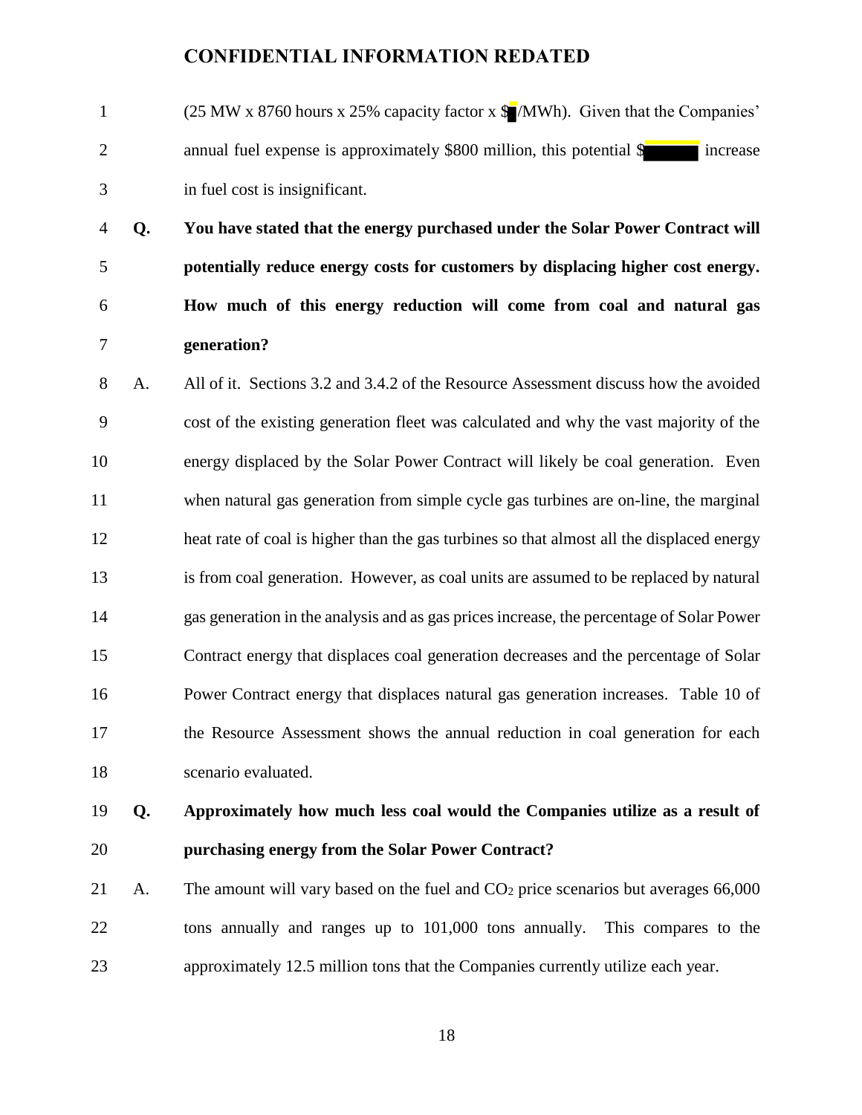- 1 (25 MW x 8760 hours x 25% capacity factor x \$ /MWh). Given that the Companies' 2 annual fuel expense is approximately \$800 million, this potential \$ increase in fuel cost is insignificant.
- **Q. You have stated that the energy purchased under the Solar Power Contract will potentially reduce energy costs for customers by displacing higher cost energy. How much of this energy reduction will come from coal and natural gas generation?**
- A. All of it. Sections 3.2 and 3.4.2 of the Resource Assessment discuss how the avoided cost of the existing generation fleet was calculated and why the vast majority of the energy displaced by the Solar Power Contract will likely be coal generation. Even when natural gas generation from simple cycle gas turbines are on-line, the marginal heat rate of coal is higher than the gas turbines so that almost all the displaced energy is from coal generation. However, as coal units are assumed to be replaced by natural gas generation in the analysis and as gas prices increase, the percentage of Solar Power Contract energy that displaces coal generation decreases and the percentage of Solar Power Contract energy that displaces natural gas generation increases. Table 10 of the Resource Assessment shows the annual reduction in coal generation for each scenario evaluated.
- 
- **Q. Approximately how much less coal would the Companies utilize as a result of purchasing energy from the Solar Power Contract?**
- 21 A. The amount will vary based on the fuel and  $CO<sub>2</sub>$  price scenarios but averages 66,000 tons annually and ranges up to 101,000 tons annually. This compares to the approximately 12.5 million tons that the Companies currently utilize each year.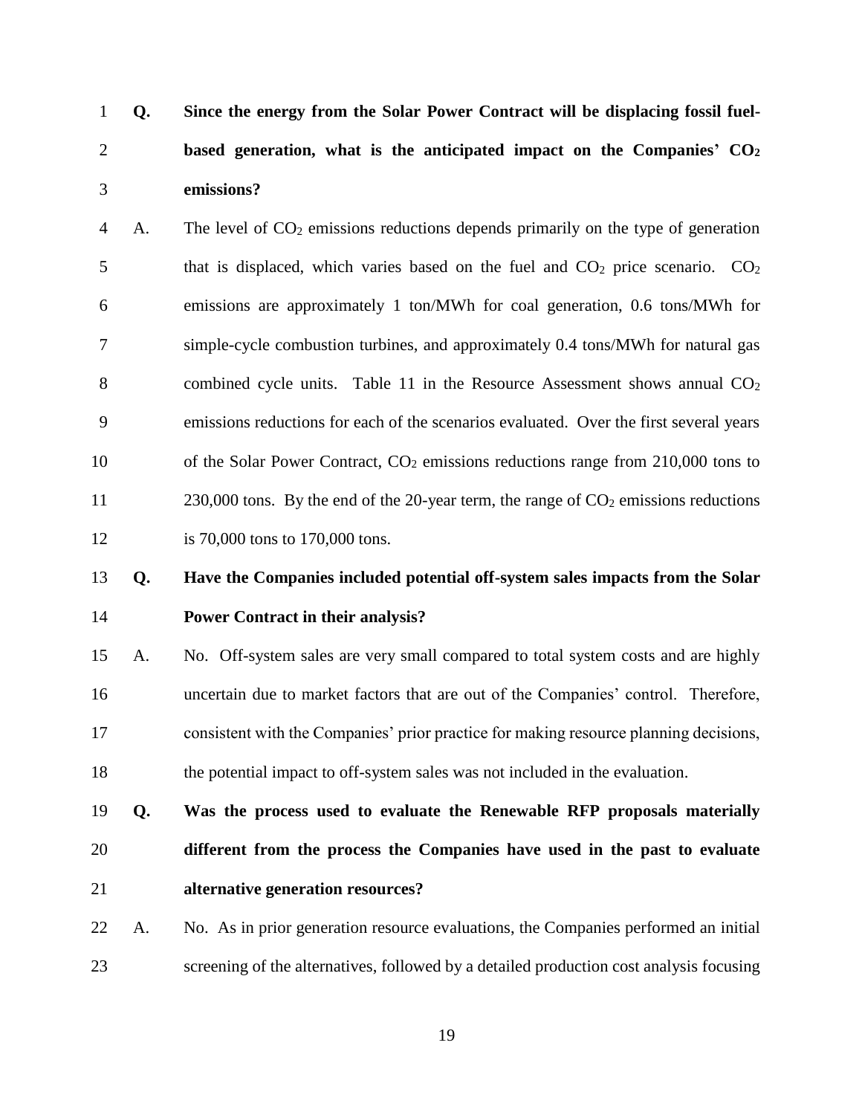**Q. Since the energy from the Solar Power Contract will be displacing fossil fuel- based generation, what is the anticipated impact on the Companies' CO<sup>2</sup> emissions?**

4 A. The level of CO<sub>2</sub> emissions reductions depends primarily on the type of generation 5 that is displaced, which varies based on the fuel and  $CO<sub>2</sub>$  price scenario.  $CO<sub>2</sub>$  emissions are approximately 1 ton/MWh for coal generation, 0.6 tons/MWh for simple-cycle combustion turbines, and approximately 0.4 tons/MWh for natural gas 8 combined cycle units. Table 11 in the Resource Assessment shows annual  $CO<sub>2</sub>$  emissions reductions for each of the scenarios evaluated. Over the first several years 10 of the Solar Power Contract,  $CO<sub>2</sub>$  emissions reductions range from 210,000 tons to 11 230,000 tons. By the end of the 20-year term, the range of CO<sub>2</sub> emissions reductions is 70,000 tons to 170,000 tons.

### **Q. Have the Companies included potential off-system sales impacts from the Solar Power Contract in their analysis?**

 A. No. Off-system sales are very small compared to total system costs and are highly uncertain due to market factors that are out of the Companies' control. Therefore, consistent with the Companies' prior practice for making resource planning decisions, the potential impact to off-system sales was not included in the evaluation.

- **Q. Was the process used to evaluate the Renewable RFP proposals materially different from the process the Companies have used in the past to evaluate alternative generation resources?**
- A. No. As in prior generation resource evaluations, the Companies performed an initial screening of the alternatives, followed by a detailed production cost analysis focusing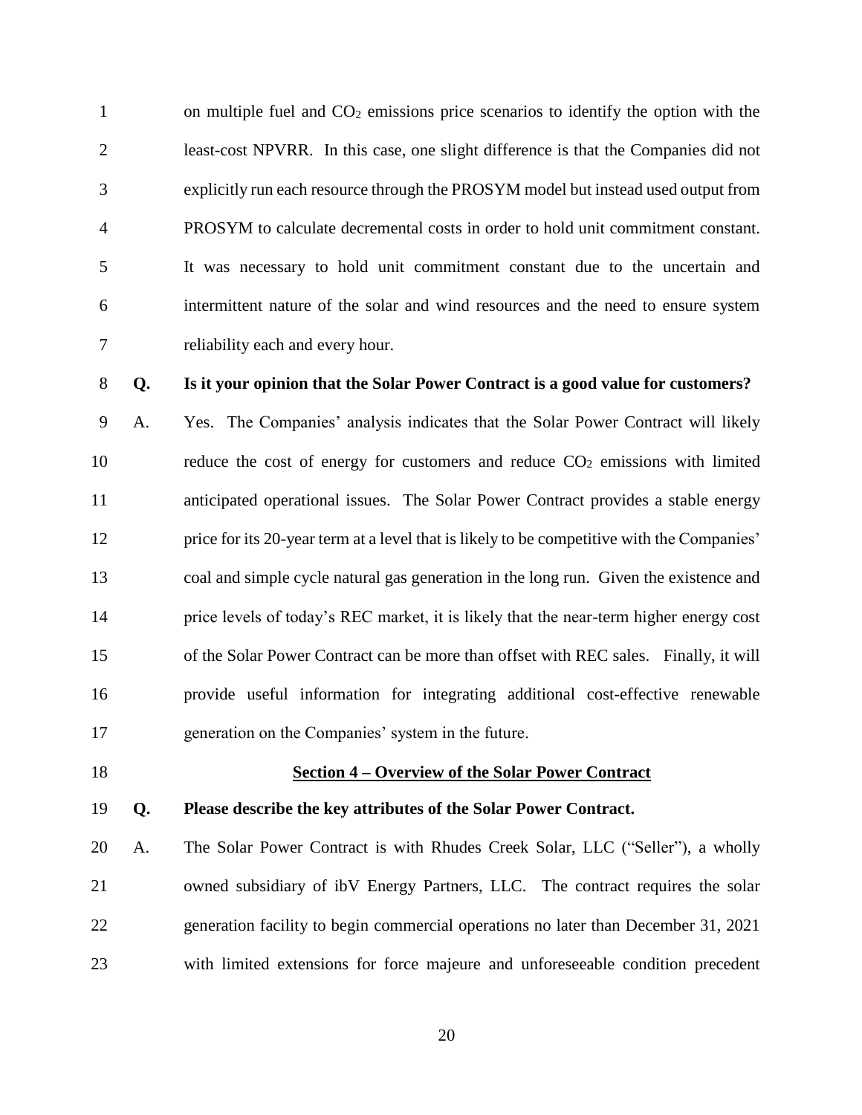1 on multiple fuel and  $CO<sub>2</sub>$  emissions price scenarios to identify the option with the least-cost NPVRR. In this case, one slight difference is that the Companies did not explicitly run each resource through the PROSYM model but instead used output from PROSYM to calculate decremental costs in order to hold unit commitment constant. It was necessary to hold unit commitment constant due to the uncertain and intermittent nature of the solar and wind resources and the need to ensure system reliability each and every hour.

### **Q. Is it your opinion that the Solar Power Contract is a good value for customers?**

 A. Yes. The Companies' analysis indicates that the Solar Power Contract will likely 10 reduce the cost of energy for customers and reduce  $CO<sub>2</sub>$  emissions with limited anticipated operational issues. The Solar Power Contract provides a stable energy price for its 20-year term at a level that is likely to be competitive with the Companies' coal and simple cycle natural gas generation in the long run. Given the existence and price levels of today's REC market, it is likely that the near-term higher energy cost of the Solar Power Contract can be more than offset with REC sales. Finally, it will provide useful information for integrating additional cost-effective renewable generation on the Companies' system in the future.

### <span id="page-19-0"></span>**Section 4 – Overview of the Solar Power Contract**

### **Q. Please describe the key attributes of the Solar Power Contract.**

 A. The Solar Power Contract is with Rhudes Creek Solar, LLC ("Seller"), a wholly owned subsidiary of ibV Energy Partners, LLC. The contract requires the solar generation facility to begin commercial operations no later than December 31, 2021 with limited extensions for force majeure and unforeseeable condition precedent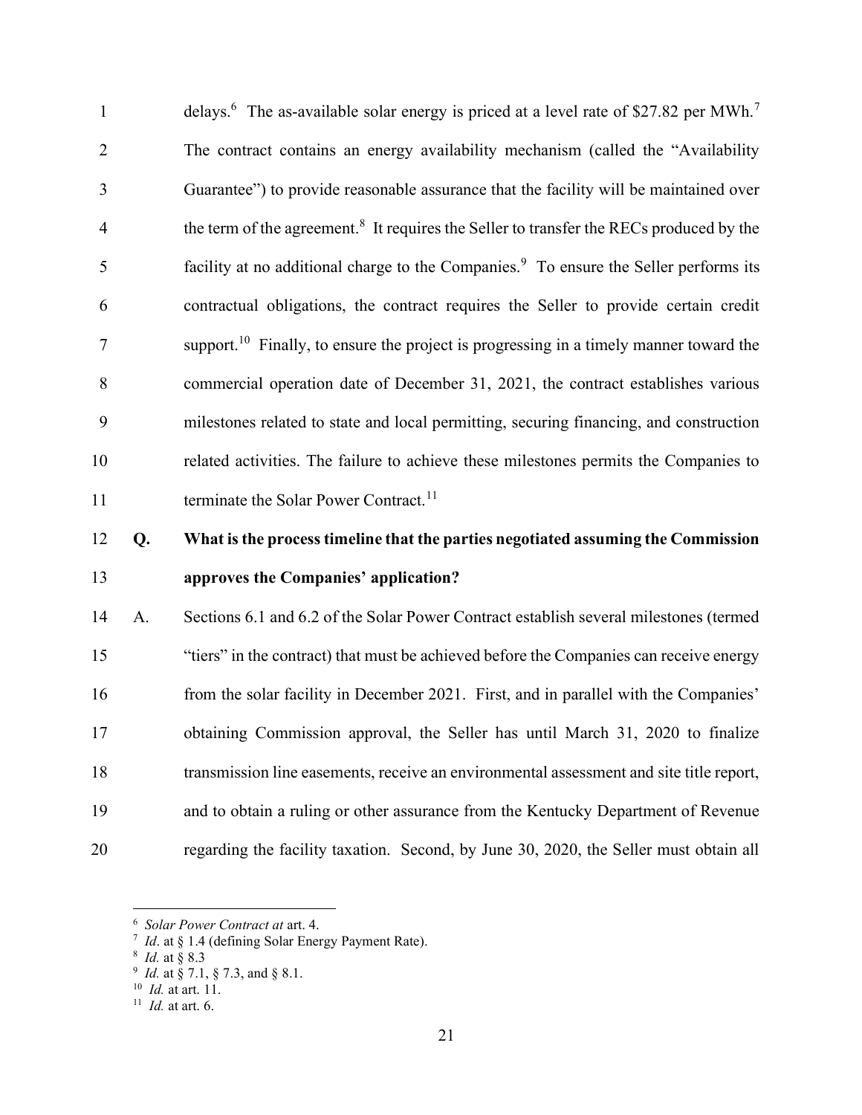| 12             | Q. | What is the process timeline that the parties negotiated assuming the Commission                              |
|----------------|----|---------------------------------------------------------------------------------------------------------------|
| 11             |    | terminate the Solar Power Contract. <sup>11</sup>                                                             |
| 10             |    | related activities. The failure to achieve these milestones permits the Companies to                          |
| 9              |    | milestones related to state and local permitting, securing financing, and construction                        |
| 8              |    | commercial operation date of December 31, 2021, the contract establishes various                              |
| 7              |    | support. <sup>10</sup> Finally, to ensure the project is progressing in a timely manner toward the            |
| 6              |    | contractual obligations, the contract requires the Seller to provide certain credit                           |
| 5              |    | facility at no additional charge to the Companies. <sup>9</sup> To ensure the Seller performs its             |
| $\overline{4}$ |    | the term of the agreement. <sup>8</sup> It requires the Seller to transfer the RECs produced by the           |
| 3              |    | Guarantee") to provide reasonable assurance that the facility will be maintained over                         |
| $\overline{2}$ |    | The contract contains an energy availability mechanism (called the "Availability"                             |
| $\mathbf{1}$   |    | delays. <sup>6</sup> The as-available solar energy is priced at a level rate of \$27.82 per MWh. <sup>7</sup> |

# 13 approves the Companies' application?

14 A. Sections 6.1 and 6.2 of the Solar Power Contract establish several milestones (termed 15 "tiers" in the contract) that must be achieved before the Companies can receive energy 16 from the solar facility in December 2021. First, and in parallel with the Companies' 17 obtaining Commission approval, the Seller has until March 31, 2020 to finalize 18 transmission line easements, receive an environmental assessment and site title report, 19 and to obtain a ruling or other assurance from the Kentucky Department of Revenue 20 regarding the facility taxation. Second, by June 30, 2020, the Seller must obtain all

<sup>6</sup> Solar Power Contract at art. 4.

 $7$  *Id.* at § 1.4 (defining Solar Energy Payment Rate).

<sup>&</sup>lt;sup>8</sup> *Id.* at § 8.3

 $9$  *Id.* at § 7.1, § 7.3, and § 8.1.

 $10$  *Id.* at art. 11.

 $11$  *Id.* at art. 6.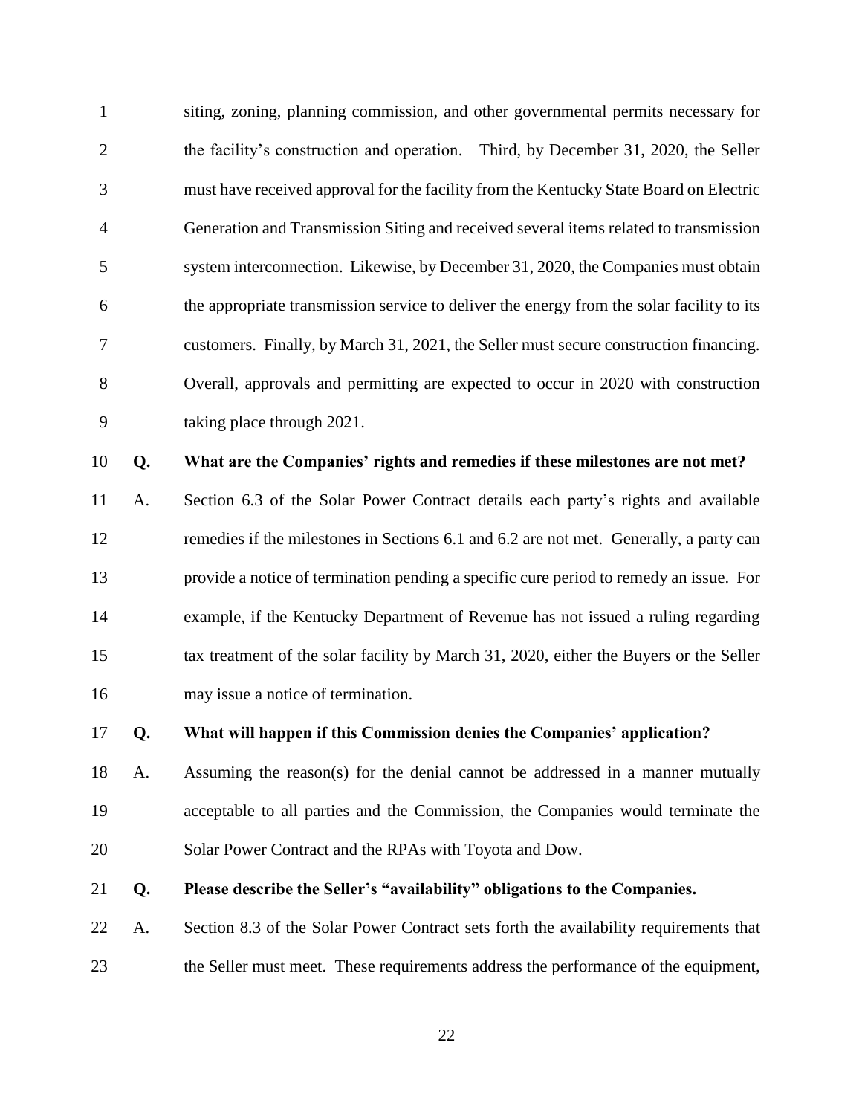siting, zoning, planning commission, and other governmental permits necessary for the facility's construction and operation. Third, by December 31, 2020, the Seller must have received approval for the facility from the Kentucky State Board on Electric Generation and Transmission Siting and received several items related to transmission system interconnection. Likewise, by December 31, 2020, the Companies must obtain the appropriate transmission service to deliver the energy from the solar facility to its customers. Finally, by March 31, 2021, the Seller must secure construction financing. Overall, approvals and permitting are expected to occur in 2020 with construction taking place through 2021.

### **Q. What are the Companies' rights and remedies if these milestones are not met?**

- A. Section 6.3 of the Solar Power Contract details each party's rights and available remedies if the milestones in Sections 6.1 and 6.2 are not met. Generally, a party can provide a notice of termination pending a specific cure period to remedy an issue. For example, if the Kentucky Department of Revenue has not issued a ruling regarding tax treatment of the solar facility by March 31, 2020, either the Buyers or the Seller may issue a notice of termination.
- **Q. What will happen if this Commission denies the Companies' application?**
- A. Assuming the reason(s) for the denial cannot be addressed in a manner mutually acceptable to all parties and the Commission, the Companies would terminate the Solar Power Contract and the RPAs with Toyota and Dow.

### **Q. Please describe the Seller's "availability" obligations to the Companies.**

 A. Section 8.3 of the Solar Power Contract sets forth the availability requirements that the Seller must meet. These requirements address the performance of the equipment,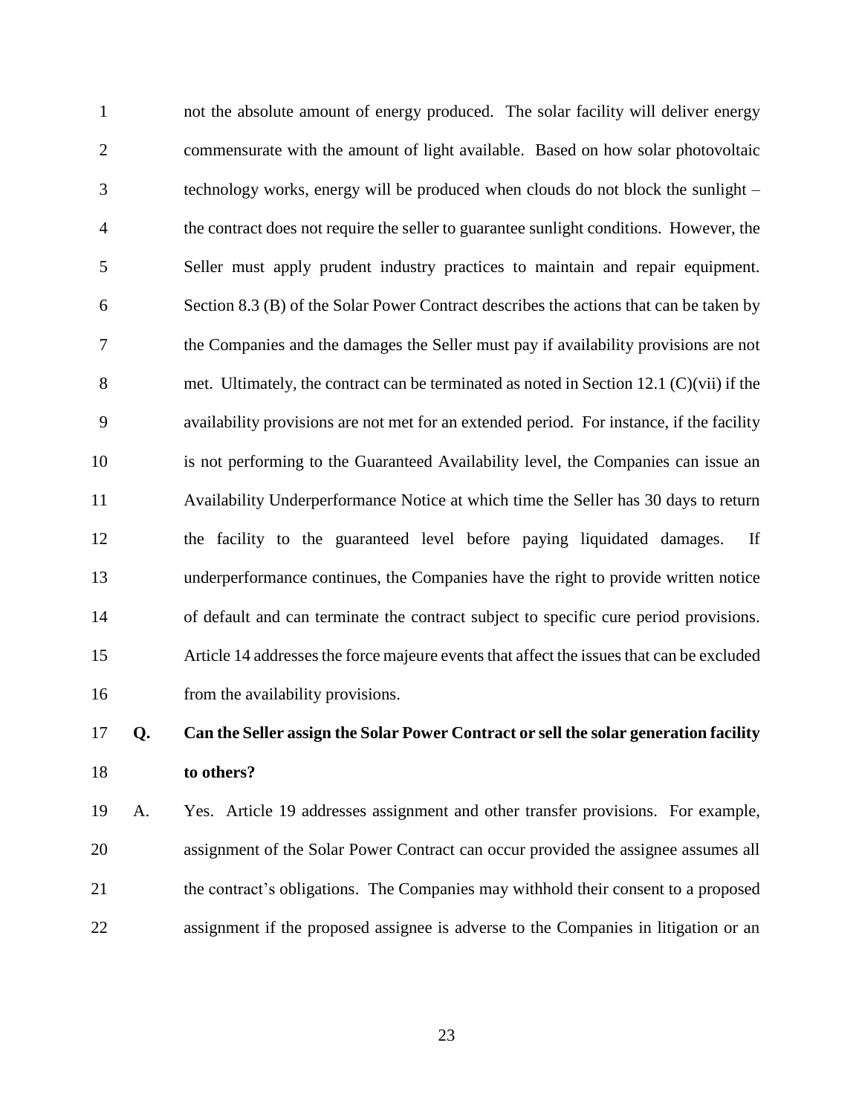not the absolute amount of energy produced. The solar facility will deliver energy commensurate with the amount of light available. Based on how solar photovoltaic technology works, energy will be produced when clouds do not block the sunlight – the contract does not require the seller to guarantee sunlight conditions. However, the Seller must apply prudent industry practices to maintain and repair equipment. Section 8.3 (B) of the Solar Power Contract describes the actions that can be taken by the Companies and the damages the Seller must pay if availability provisions are not 8 met. Ultimately, the contract can be terminated as noted in Section 12.1 (C)(vii) if the availability provisions are not met for an extended period. For instance, if the facility is not performing to the Guaranteed Availability level, the Companies can issue an Availability Underperformance Notice at which time the Seller has 30 days to return the facility to the guaranteed level before paying liquidated damages. If underperformance continues, the Companies have the right to provide written notice of default and can terminate the contract subject to specific cure period provisions. Article 14 addresses the force majeure events that affect the issues that can be excluded 16 from the availability provisions.

### **Q. Can the Seller assign the Solar Power Contract or sell the solar generation facility to others?**

 A. Yes. Article 19 addresses assignment and other transfer provisions. For example, assignment of the Solar Power Contract can occur provided the assignee assumes all the contract's obligations. The Companies may withhold their consent to a proposed assignment if the proposed assignee is adverse to the Companies in litigation or an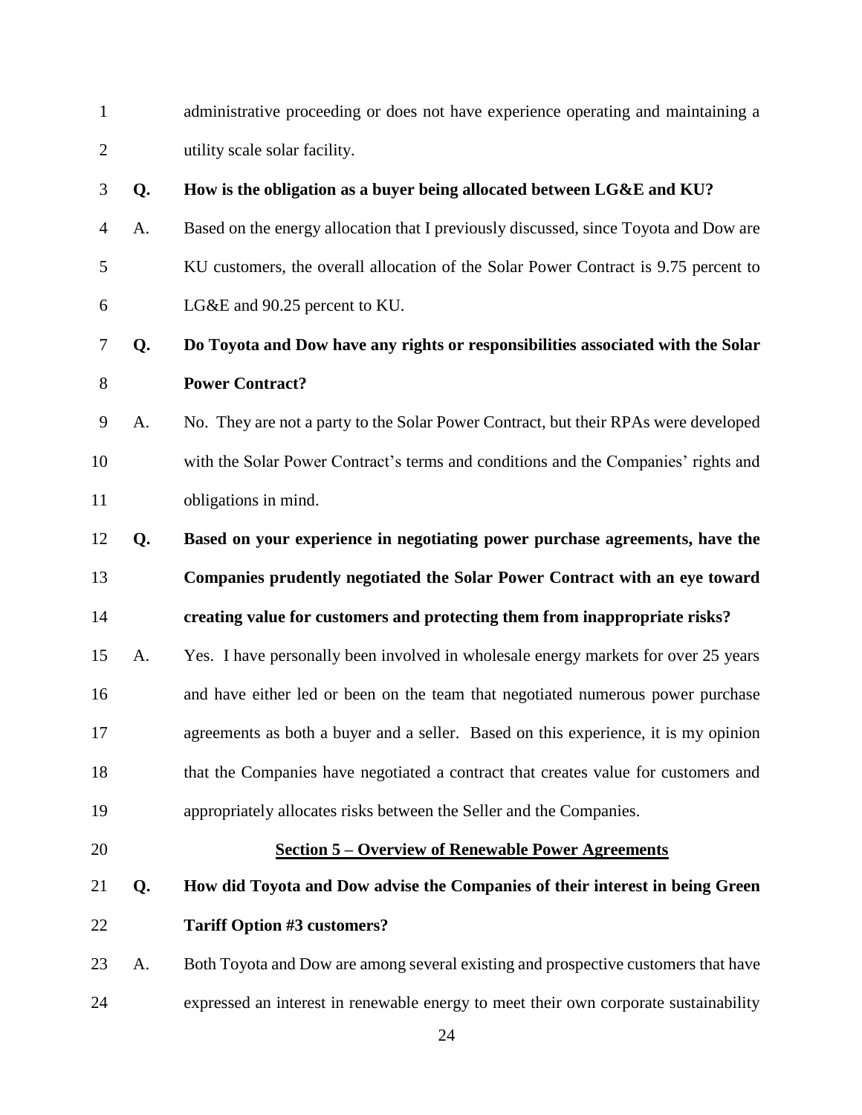| $\overline{2}$ |    | utility scale solar facility.                                                        |
|----------------|----|--------------------------------------------------------------------------------------|
| 3              | Q. | How is the obligation as a buyer being allocated between LG&E and KU?                |
| $\overline{4}$ | A. | Based on the energy allocation that I previously discussed, since Toyota and Dow are |
| 5              |    | KU customers, the overall allocation of the Solar Power Contract is 9.75 percent to  |
| 6              |    | LG&E and 90.25 percent to KU.                                                        |
| 7              | Q. | Do Toyota and Dow have any rights or responsibilities associated with the Solar      |
| $8\,$          |    | <b>Power Contract?</b>                                                               |
| 9              | A. | No. They are not a party to the Solar Power Contract, but their RPAs were developed  |
| 10             |    | with the Solar Power Contract's terms and conditions and the Companies' rights and   |
| 11             |    | obligations in mind.                                                                 |
| 12             | Q. | Based on your experience in negotiating power purchase agreements, have the          |
| 13             |    | Companies prudently negotiated the Solar Power Contract with an eye toward           |
| 14             |    | creating value for customers and protecting them from inappropriate risks?           |
| 15             | A. | Yes. I have personally been involved in wholesale energy markets for over 25 years   |
|                |    |                                                                                      |
| 16             |    | and have either led or been on the team that negotiated numerous power purchase      |
| 17             |    | agreements as both a buyer and a seller. Based on this experience, it is my opinion  |
| 18             |    | that the Companies have negotiated a contract that creates value for customers and   |
| 19             |    | appropriately allocates risks between the Seller and the Companies.                  |
| 20             |    | <b><u>Section 5 – Overview of Renewable Power Agreements</u></b>                     |
| 21             | Q. | How did Toyota and Dow advise the Companies of their interest in being Green         |
| 22             |    | <b>Tariff Option #3 customers?</b>                                                   |

administrative proceeding or does not have experience operating and maintaining a

<span id="page-23-0"></span>expressed an interest in renewable energy to meet their own corporate sustainability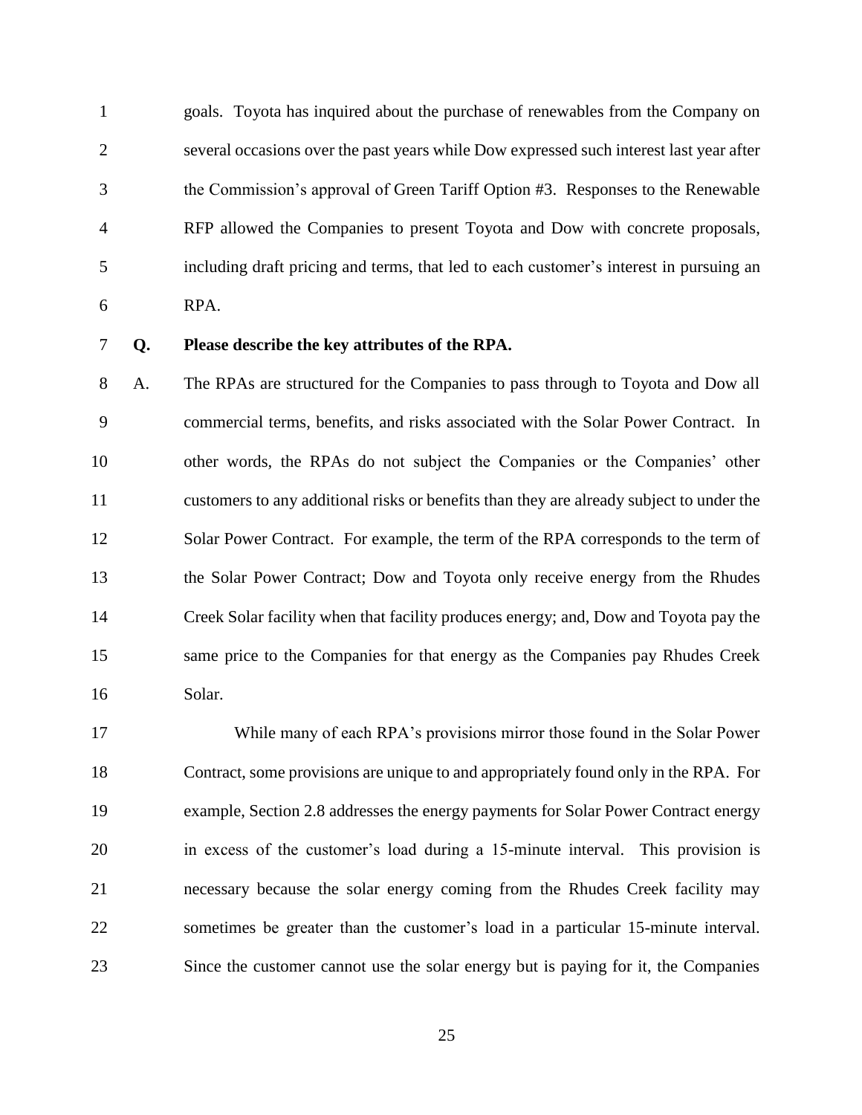goals. Toyota has inquired about the purchase of renewables from the Company on several occasions over the past years while Dow expressed such interest last year after the Commission's approval of Green Tariff Option #3. Responses to the Renewable RFP allowed the Companies to present Toyota and Dow with concrete proposals, including draft pricing and terms, that led to each customer's interest in pursuing an RPA.

### **Q. Please describe the key attributes of the RPA.**

 A. The RPAs are structured for the Companies to pass through to Toyota and Dow all commercial terms, benefits, and risks associated with the Solar Power Contract. In other words, the RPAs do not subject the Companies or the Companies' other customers to any additional risks or benefits than they are already subject to under the Solar Power Contract. For example, the term of the RPA corresponds to the term of the Solar Power Contract; Dow and Toyota only receive energy from the Rhudes Creek Solar facility when that facility produces energy; and, Dow and Toyota pay the same price to the Companies for that energy as the Companies pay Rhudes Creek Solar.

 While many of each RPA's provisions mirror those found in the Solar Power Contract, some provisions are unique to and appropriately found only in the RPA. For example, Section 2.8 addresses the energy payments for Solar Power Contract energy in excess of the customer's load during a 15-minute interval. This provision is necessary because the solar energy coming from the Rhudes Creek facility may sometimes be greater than the customer's load in a particular 15-minute interval. Since the customer cannot use the solar energy but is paying for it, the Companies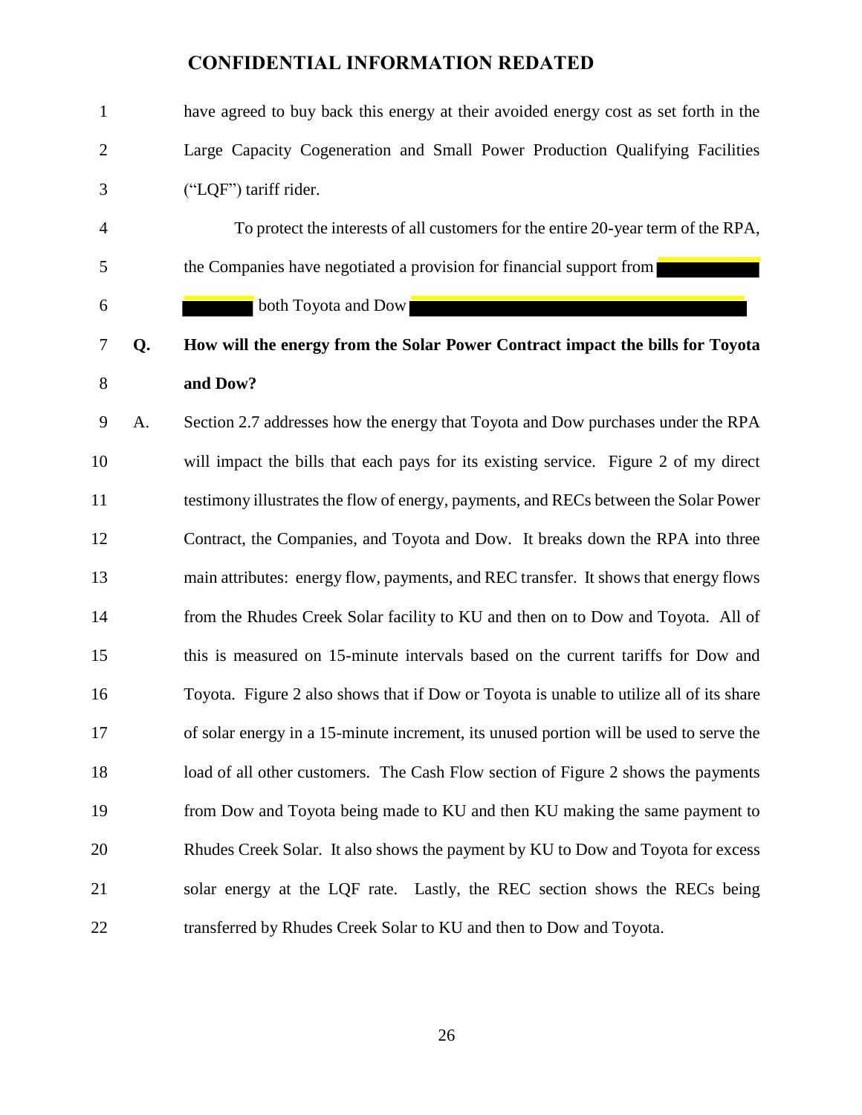| $\mathbf{1}$   |    | have agreed to buy back this energy at their avoided energy cost as set forth in the    |
|----------------|----|-----------------------------------------------------------------------------------------|
| $\mathbf{2}$   |    | Large Capacity Cogeneration and Small Power Production Qualifying Facilities            |
| 3              |    | ("LQF") tariff rider.                                                                   |
| $\overline{4}$ |    | To protect the interests of all customers for the entire 20-year term of the RPA,       |
| 5              |    | the Companies have negotiated a provision for financial support from                    |
| 6              |    | both Toyota and Dow                                                                     |
| $\tau$         | Q. | How will the energy from the Solar Power Contract impact the bills for Toyota           |
| 8              |    | and Dow?                                                                                |
| 9              | A. | Section 2.7 addresses how the energy that Toyota and Dow purchases under the RPA        |
| 10             |    | will impact the bills that each pays for its existing service. Figure 2 of my direct    |
| 11             |    | testimony illustrates the flow of energy, payments, and RECs between the Solar Power    |
| 12             |    | Contract, the Companies, and Toyota and Dow. It breaks down the RPA into three          |
| 13             |    | main attributes: energy flow, payments, and REC transfer. It shows that energy flows    |
| 14             |    | from the Rhudes Creek Solar facility to KU and then on to Dow and Toyota. All of        |
| 15             |    | this is measured on 15-minute intervals based on the current tariffs for Dow and        |
| 16             |    | Toyota. Figure 2 also shows that if Dow or Toyota is unable to utilize all of its share |
| 17             |    | of solar energy in a 15-minute increment, its unused portion will be used to serve the  |
| 18             |    | load of all other customers. The Cash Flow section of Figure 2 shows the payments       |
| 19             |    | from Dow and Toyota being made to KU and then KU making the same payment to             |
| 20             |    | Rhudes Creek Solar. It also shows the payment by KU to Dow and Toyota for excess        |
| 21             |    | solar energy at the LQF rate. Lastly, the REC section shows the RECs being              |
| 22             |    | transferred by Rhudes Creek Solar to KU and then to Dow and Toyota.                     |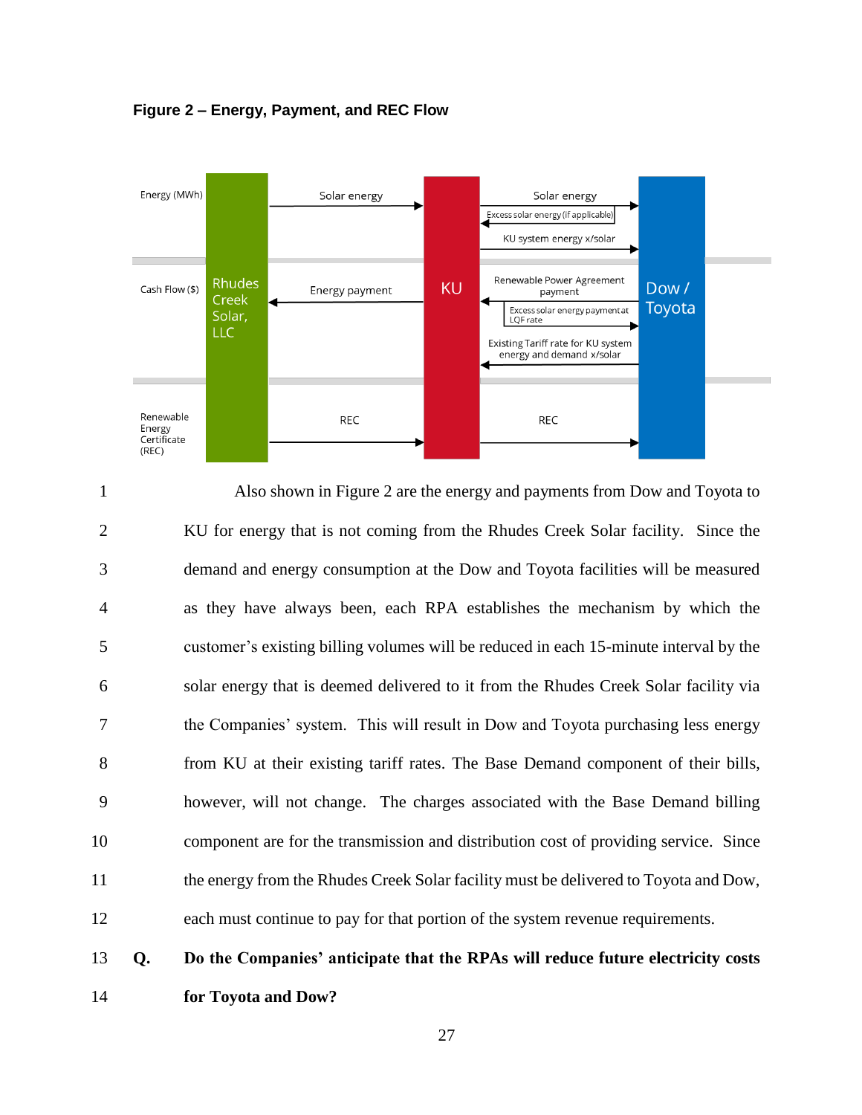

**Figure 2 – Energy, Payment, and REC Flow**

 Also shown in Figure 2 are the energy and payments from Dow and Toyota to KU for energy that is not coming from the Rhudes Creek Solar facility. Since the demand and energy consumption at the Dow and Toyota facilities will be measured as they have always been, each RPA establishes the mechanism by which the customer's existing billing volumes will be reduced in each 15-minute interval by the solar energy that is deemed delivered to it from the Rhudes Creek Solar facility via the Companies' system. This will result in Dow and Toyota purchasing less energy from KU at their existing tariff rates. The Base Demand component of their bills, however, will not change. The charges associated with the Base Demand billing component are for the transmission and distribution cost of providing service. Since the energy from the Rhudes Creek Solar facility must be delivered to Toyota and Dow, each must continue to pay for that portion of the system revenue requirements. **Q. Do the Companies' anticipate that the RPAs will reduce future electricity costs**

**for Toyota and Dow?**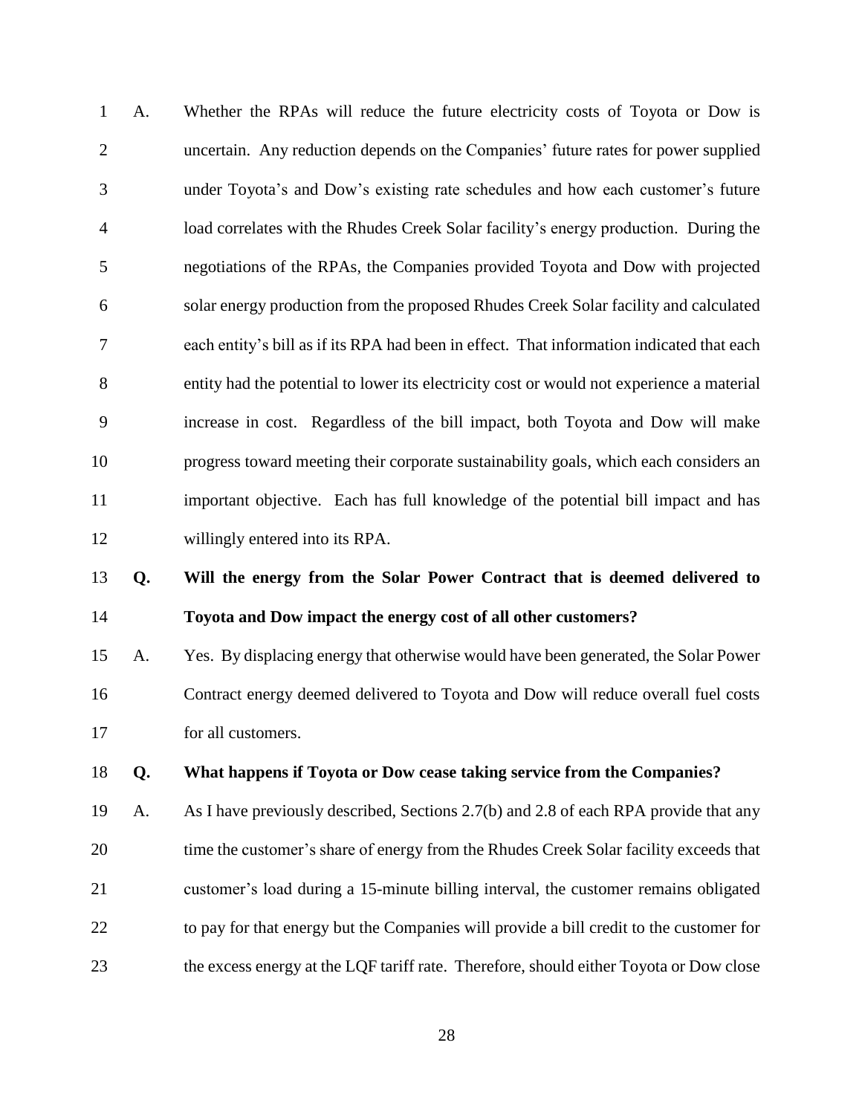A. Whether the RPAs will reduce the future electricity costs of Toyota or Dow is uncertain. Any reduction depends on the Companies' future rates for power supplied under Toyota's and Dow's existing rate schedules and how each customer's future load correlates with the Rhudes Creek Solar facility's energy production. During the negotiations of the RPAs, the Companies provided Toyota and Dow with projected solar energy production from the proposed Rhudes Creek Solar facility and calculated each entity's bill as if its RPA had been in effect. That information indicated that each entity had the potential to lower its electricity cost or would not experience a material increase in cost. Regardless of the bill impact, both Toyota and Dow will make progress toward meeting their corporate sustainability goals, which each considers an important objective. Each has full knowledge of the potential bill impact and has willingly entered into its RPA. **Q. Will the energy from the Solar Power Contract that is deemed delivered to**

### **Toyota and Dow impact the energy cost of all other customers?**

 A. Yes. By displacing energy that otherwise would have been generated, the Solar Power Contract energy deemed delivered to Toyota and Dow will reduce overall fuel costs for all customers.

### **Q. What happens if Toyota or Dow cease taking service from the Companies?**

 A. As I have previously described, Sections 2.7(b) and 2.8 of each RPA provide that any time the customer's share of energy from the Rhudes Creek Solar facility exceeds that customer's load during a 15-minute billing interval, the customer remains obligated to pay for that energy but the Companies will provide a bill credit to the customer for the excess energy at the LQF tariff rate. Therefore, should either Toyota or Dow close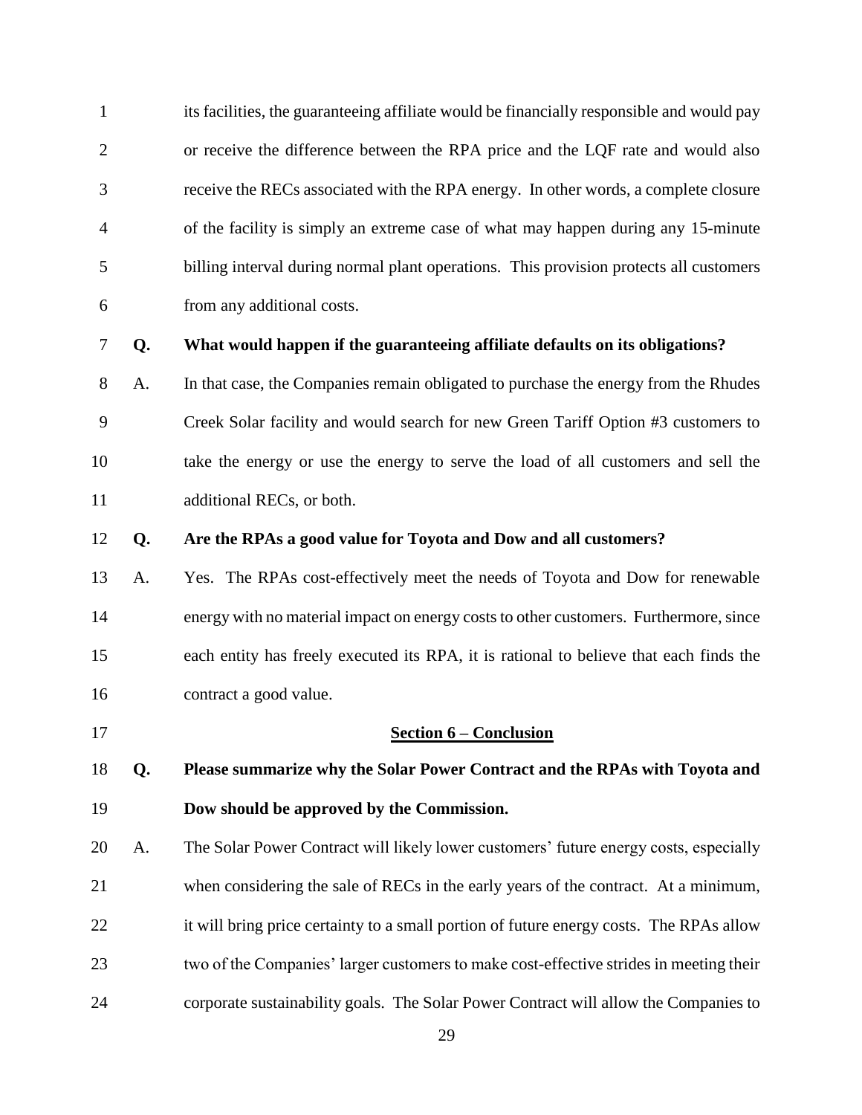its facilities, the guaranteeing affiliate would be financially responsible and would pay or receive the difference between the RPA price and the LQF rate and would also receive the RECs associated with the RPA energy. In other words, a complete closure of the facility is simply an extreme case of what may happen during any 15-minute billing interval during normal plant operations. This provision protects all customers from any additional costs.

### **Q. What would happen if the guaranteeing affiliate defaults on its obligations?**

- A. In that case, the Companies remain obligated to purchase the energy from the Rhudes Creek Solar facility and would search for new Green Tariff Option #3 customers to take the energy or use the energy to serve the load of all customers and sell the additional RECs, or both.
- **Q. Are the RPAs a good value for Toyota and Dow and all customers?**
- A. Yes. The RPAs cost-effectively meet the needs of Toyota and Dow for renewable energy with no material impact on energy costs to other customers. Furthermore, since each entity has freely executed its RPA, it is rational to believe that each finds the contract a good value.
- 

<span id="page-28-0"></span>**Section 6 – Conclusion**

- **Q. Please summarize why the Solar Power Contract and the RPAs with Toyota and Dow should be approved by the Commission.**
- A. The Solar Power Contract will likely lower customers' future energy costs, especially when considering the sale of RECs in the early years of the contract. At a minimum, 22 it will bring price certainty to a small portion of future energy costs. The RPAs allow two of the Companies' larger customers to make cost-effective strides in meeting their corporate sustainability goals. The Solar Power Contract will allow the Companies to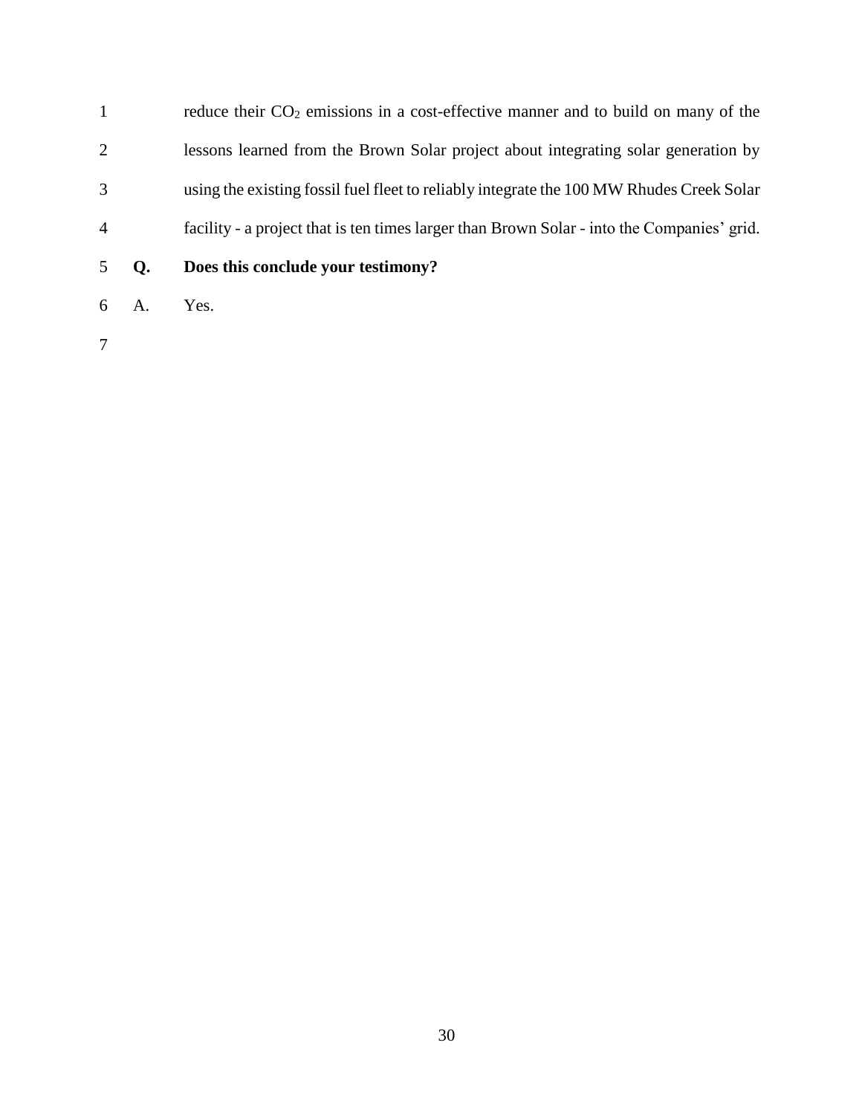1 reduce their CO<sub>2</sub> emissions in a cost-effective manner and to build on many of the lessons learned from the Brown Solar project about integrating solar generation by using the existing fossil fuel fleet to reliably integrate the 100 MW Rhudes Creek Solar facility - a project that is ten times larger than Brown Solar - into the Companies' grid.

- **Q. Does this conclude your testimony?**
- A. Yes.
-